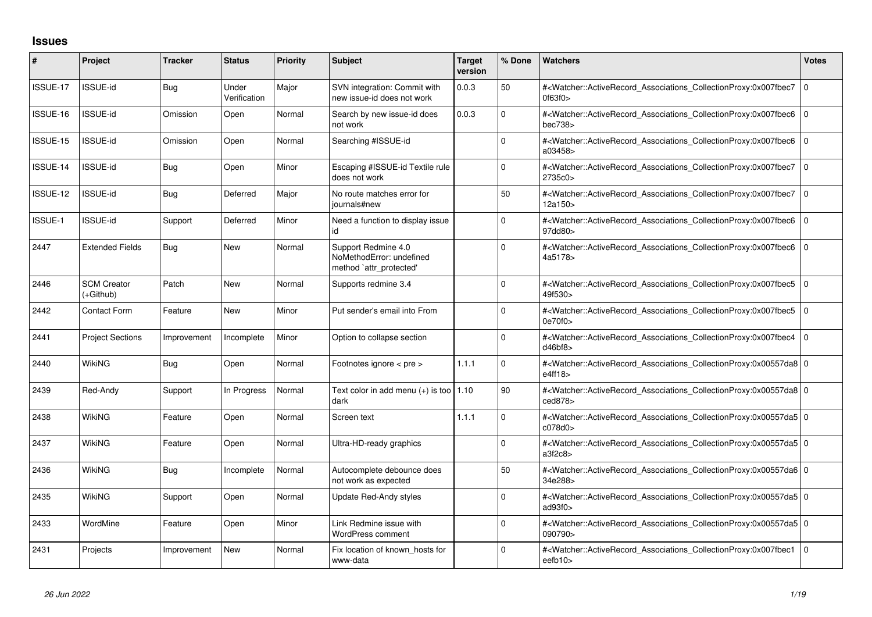## **Issues**

| #              | Project                         | <b>Tracker</b> | <b>Status</b>         | <b>Priority</b> | Subject                                                                    | <b>Target</b><br>version | % Done      | <b>Watchers</b>                                                                                                                                            | <b>Votes</b> |
|----------------|---------------------------------|----------------|-----------------------|-----------------|----------------------------------------------------------------------------|--------------------------|-------------|------------------------------------------------------------------------------------------------------------------------------------------------------------|--------------|
| ISSUE-17       | ISSUE-id                        | Bug            | Under<br>Verification | Major           | SVN integration: Commit with<br>new issue-id does not work                 | 0.0.3                    | 50          | # <watcher::activerecord_associations_collectionproxy:0x007fbec7<br>0f63f0&gt;</watcher::activerecord_associations_collectionproxy:0x007fbec7<br>          | $\mathbf 0$  |
| ISSUE-16       | <b>ISSUE-id</b>                 | Omission       | Open                  | Normal          | Search by new issue-id does<br>not work                                    | 0.0.3                    | $\Omega$    | # <watcher::activerecord associations="" collectionproxy:0x007fbec6<br="">bec738&gt;</watcher::activerecord>                                               | $\mathbf 0$  |
| ISSUE-15       | <b>ISSUE-id</b>                 | Omission       | Open                  | Normal          | Searching #ISSUE-id                                                        |                          | $\Omega$    | # <watcher::activerecord associations="" collectionproxy:0x007fbec6<br="">a03458&gt;</watcher::activerecord>                                               | $\Omega$     |
| ISSUE-14       | <b>ISSUE-id</b>                 | Bug            | Open                  | Minor           | Escaping #ISSUE-id Textile rule<br>does not work                           |                          | $\Omega$    | # <watcher::activerecord associations="" collectionproxy:0x007fbec7<br="">2735c0&gt;</watcher::activerecord>                                               | $\mathbf 0$  |
| ISSUE-12       | <b>ISSUE-id</b>                 | Bug            | Deferred              | Major           | No route matches error for<br>journals#new                                 |                          | 50          | # <watcher::activerecord associations="" collectionproxy:0x007fbec7<br="">12a150&gt;</watcher::activerecord>                                               | $\Omega$     |
| <b>ISSUE-1</b> | <b>ISSUE-id</b>                 | Support        | Deferred              | Minor           | Need a function to display issue<br>id                                     |                          | $\Omega$    | # <watcher::activerecord associations="" collectionproxy:0x007fbec6<br="">97dd80&gt;</watcher::activerecord>                                               | $\mathbf 0$  |
| 2447           | <b>Extended Fields</b>          | Bug            | <b>New</b>            | Normal          | Support Redmine 4.0<br>NoMethodError: undefined<br>method 'attr_protected' |                          | $\Omega$    | # <watcher::activerecord associations="" collectionproxy:0x007fbec6<br="">4a5178&gt;</watcher::activerecord>                                               | $\mathbf 0$  |
| 2446           | <b>SCM Creator</b><br>(+Github) | Patch          | New                   | Normal          | Supports redmine 3.4                                                       |                          | $\Omega$    | # <watcher::activerecord associations="" collectionproxy:0x007fbec5<br="">49f530&gt;</watcher::activerecord>                                               | $\mathbf 0$  |
| 2442           | Contact Form                    | Feature        | New                   | Minor           | Put sender's email into From                                               |                          | $\Omega$    | # <watcher::activerecord_associations_collectionproxy:0x007fbec5<br>0e70f0&gt;</watcher::activerecord_associations_collectionproxy:0x007fbec5<br>          | $\Omega$     |
| 2441           | <b>Project Sections</b>         | Improvement    | Incomplete            | Minor           | Option to collapse section                                                 |                          | 0           | # <watcher::activerecord associations="" collectionproxy:0x007fbec4<br="">d46bf8</watcher::activerecord>                                                   | $\Omega$     |
| 2440           | <b>WikiNG</b>                   | <b>Bug</b>     | Open                  | Normal          | Footnotes ignore < pre >                                                   | 1.1.1                    | $\Omega$    | # <watcher::activerecord_associations_collectionproxy:0x00557da8 0<br="">e4ff18&gt;</watcher::activerecord_associations_collectionproxy:0x00557da8>        |              |
| 2439           | Red-Andy                        | Support        | In Progress           | Normal          | Text color in add menu $(+)$ is too   1.10<br>dark                         |                          | 90          | # <watcher::activerecord 0<br="" associations="" collectionproxy:0x00557da8=""  ="">ced878&gt;</watcher::activerecord>                                     |              |
| 2438           | WikiNG                          | Feature        | Open                  | Normal          | Screen text                                                                | 1.1.1                    | $\Omega$    | # <watcher::activerecord_associations_collectionproxy:0x00557da5 0<br="">c078d0&gt;</watcher::activerecord_associations_collectionproxy:0x00557da5>        |              |
| 2437           | WikiNG                          | Feature        | Open                  | Normal          | Ultra-HD-ready graphics                                                    |                          | O           | # <watcher::activerecord_associations_collectionproxy:0x00557da5 0<br="">a3f2c8</watcher::activerecord_associations_collectionproxy:0x00557da5>            |              |
| 2436           | WikiNG                          | Bug            | Incomplete            | Normal          | Autocomplete debounce does<br>not work as expected                         |                          | 50          | # <watcher::activerecord 0<br="" associations="" collectionproxy:0x00557da6=""  ="">34e288&gt;</watcher::activerecord>                                     |              |
| 2435           | WikiNG                          | Support        | Open                  | Normal          | Update Red-Andy styles                                                     |                          | $\Omega$    | # <watcher::activerecord_associations_collectionproxy:0x00557da5 0<br="">ad93f0&gt;</watcher::activerecord_associations_collectionproxy:0x00557da5>        |              |
| 2433           | WordMine                        | Feature        | Open                  | Minor           | Link Redmine issue with<br>WordPress comment                               |                          | $\mathbf 0$ | # <watcher::activerecord 0<br="" associations="" collectionproxy:0x00557da5=""  ="">090790&gt;</watcher::activerecord>                                     |              |
| 2431           | Projects                        | Improvement    | New                   | Normal          | Fix location of known hosts for<br>www-data                                |                          | 0           | # <watcher::activerecord_associations_collectionproxy:0x007fbec1<br>eefb<math>10</math></watcher::activerecord_associations_collectionproxy:0x007fbec1<br> | $\Omega$     |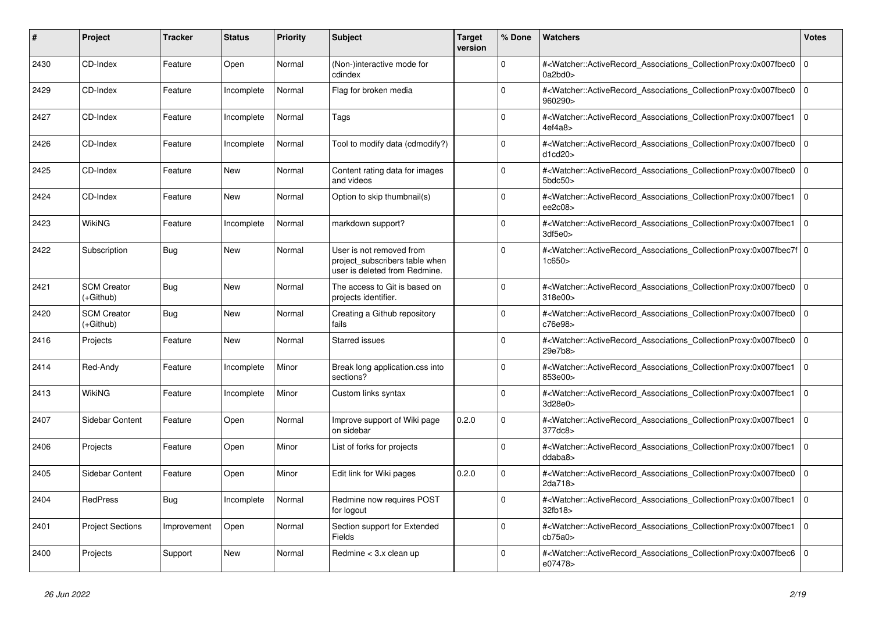| #    | Project                         | <b>Tracker</b> | <b>Status</b> | <b>Priority</b> | <b>Subject</b>                                                                              | <b>Target</b><br>version | % Done      | <b>Watchers</b>                                                                                                                                              | Votes          |
|------|---------------------------------|----------------|---------------|-----------------|---------------------------------------------------------------------------------------------|--------------------------|-------------|--------------------------------------------------------------------------------------------------------------------------------------------------------------|----------------|
| 2430 | CD-Index                        | Feature        | Open          | Normal          | (Non-)interactive mode for<br>cdindex                                                       |                          | $\Omega$    | # <watcher::activerecord_associations_collectionproxy:0x007fbec0<br>0a2bd0&gt;</watcher::activerecord_associations_collectionproxy:0x007fbec0<br>            | $\overline{0}$ |
| 2429 | CD-Index                        | Feature        | Incomplete    | Normal          | Flag for broken media                                                                       |                          | $\Omega$    | # <watcher::activerecord_associations_collectionproxy:0x007fbec0<br>960290&gt;</watcher::activerecord_associations_collectionproxy:0x007fbec0<br>            | $\overline{0}$ |
| 2427 | CD-Index                        | Feature        | Incomplete    | Normal          | Tags                                                                                        |                          | $\Omega$    | # <watcher::activerecord_associations_collectionproxy:0x007fbec1<br>4ef4a8&gt;</watcher::activerecord_associations_collectionproxy:0x007fbec1<br>            | l o            |
| 2426 | CD-Index                        | Feature        | Incomplete    | Normal          | Tool to modify data (cdmodify?)                                                             |                          | $\Omega$    | # <watcher::activerecord_associations_collectionproxy:0x007fbec0<br>d1cd20</watcher::activerecord_associations_collectionproxy:0x007fbec0<br>                | $\Omega$       |
| 2425 | CD-Index                        | Feature        | <b>New</b>    | Normal          | Content rating data for images<br>and videos                                                |                          | $\mathbf 0$ | # <watcher::activerecord_associations_collectionproxy:0x007fbec0<br>5bdc50<sub>&gt;</sub></watcher::activerecord_associations_collectionproxy:0x007fbec0<br> | $\overline{0}$ |
| 2424 | CD-Index                        | Feature        | New           | Normal          | Option to skip thumbnail(s)                                                                 |                          | $\Omega$    | # <watcher::activerecord associations="" collectionproxy:0x007fbec1<br="">ee2c08</watcher::activerecord>                                                     | $\overline{0}$ |
| 2423 | WikiNG                          | Feature        | Incomplete    | Normal          | markdown support?                                                                           |                          | $\Omega$    | # <watcher::activerecord associations="" collectionproxy:0x007fbec1<br="">3df5e0</watcher::activerecord>                                                     | $\overline{0}$ |
| 2422 | Subscription                    | <b>Bug</b>     | <b>New</b>    | Normal          | User is not removed from<br>project_subscribers table when<br>user is deleted from Redmine. |                          | $\Omega$    | # <watcher::activerecord_associations_collectionproxy:0x007fbec7f 0<br=""  ="">1c650</watcher::activerecord_associations_collectionproxy:0x007fbec7f>        |                |
| 2421 | <b>SCM Creator</b><br>(+Github) | Bug            | New           | Normal          | The access to Git is based on<br>projects identifier.                                       |                          | $\Omega$    | # <watcher::activerecord_associations_collectionproxy:0x007fbec0<br>318e00&gt;</watcher::activerecord_associations_collectionproxy:0x007fbec0<br>            | 0              |
| 2420 | <b>SCM Creator</b><br>(+Github) | <b>Bug</b>     | <b>New</b>    | Normal          | Creating a Github repository<br>fails                                                       |                          | $\Omega$    | # <watcher::activerecord_associations_collectionproxy:0x007fbec0<br>c76e98&gt;</watcher::activerecord_associations_collectionproxy:0x007fbec0<br>            | $\Omega$       |
| 2416 | Projects                        | Feature        | <b>New</b>    | Normal          | <b>Starred issues</b>                                                                       |                          | $\Omega$    | # <watcher::activerecord associations="" collectionproxy:0x007fbec0<br="">29e7b8&gt;</watcher::activerecord>                                                 | $\Omega$       |
| 2414 | Red-Andy                        | Feature        | Incomplete    | Minor           | Break long application.css into<br>sections?                                                |                          | $\Omega$    | # <watcher::activerecord associations="" collectionproxy:0x007fbec1<br="">853e00&gt;</watcher::activerecord>                                                 | 0              |
| 2413 | WikiNG                          | Feature        | Incomplete    | Minor           | Custom links syntax                                                                         |                          | 0           | # <watcher::activerecord_associations_collectionproxy:0x007fbec1<br>3d28e0&gt;</watcher::activerecord_associations_collectionproxy:0x007fbec1<br>            | $\overline{0}$ |
| 2407 | <b>Sidebar Content</b>          | Feature        | Open          | Normal          | Improve support of Wiki page<br>on sidebar                                                  | 0.2.0                    | $\Omega$    | # <watcher::activerecord associations="" collectionproxy:0x007fbec1<br="">377dc8&gt;</watcher::activerecord>                                                 | 0              |
| 2406 | Projects                        | Feature        | Open          | Minor           | List of forks for projects                                                                  |                          | $\Omega$    | # <watcher::activerecord associations="" collectionproxy:0x007fbec1<br="">ddaba8&gt;</watcher::activerecord>                                                 | $\overline{0}$ |
| 2405 | Sidebar Content                 | Feature        | Open          | Minor           | Edit link for Wiki pages                                                                    | 0.2.0                    | $\mathbf 0$ | # <watcher::activerecord_associations_collectionproxy:0x007fbec0<br>2da718&gt;</watcher::activerecord_associations_collectionproxy:0x007fbec0<br>            | $\mathbf 0$    |
| 2404 | RedPress                        | Bug            | Incomplete    | Normal          | Redmine now requires POST<br>for logout                                                     |                          | $\Omega$    | # <watcher::activerecord_associations_collectionproxy:0x007fbec1<br>32fb18&gt;</watcher::activerecord_associations_collectionproxy:0x007fbec1<br>            | $\overline{0}$ |
| 2401 | <b>Project Sections</b>         | Improvement    | Open          | Normal          | Section support for Extended<br>Fields                                                      |                          | $\Omega$    | # <watcher::activerecord associations="" collectionproxy:0x007fbec1<br="">cb75a0</watcher::activerecord>                                                     | $\overline{0}$ |
| 2400 | Projects                        | Support        | <b>New</b>    | Normal          | Redmine < 3.x clean up                                                                      |                          | $\Omega$    | # <watcher::activerecord_associations_collectionproxy:0x007fbec6<br>e07478&gt;</watcher::activerecord_associations_collectionproxy:0x007fbec6<br>            | 0              |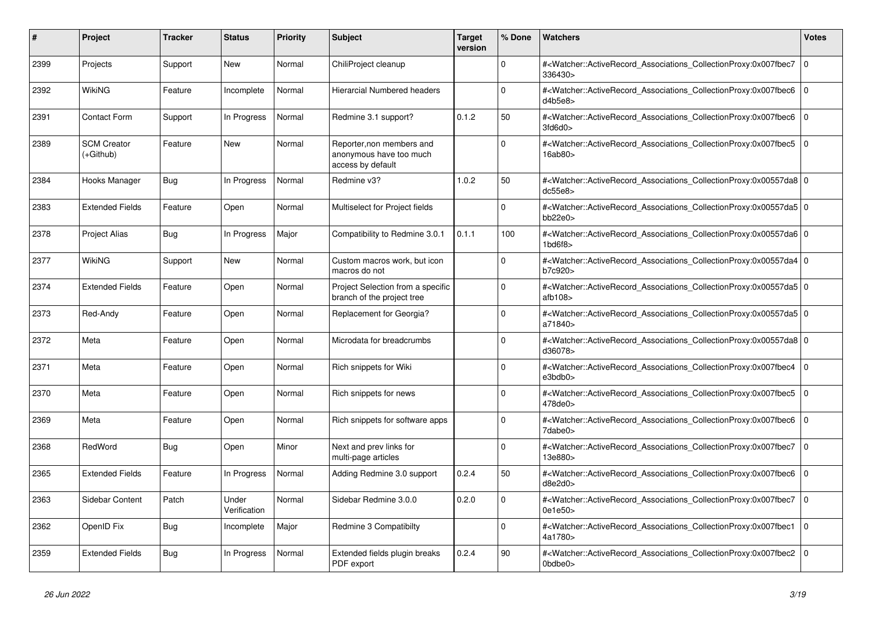| #    | <b>Project</b>                  | <b>Tracker</b> | <b>Status</b>         | <b>Priority</b> | <b>Subject</b>                                                            | <b>Target</b><br>version | % Done      | <b>Watchers</b>                                                                                                                                                         | Votes          |
|------|---------------------------------|----------------|-----------------------|-----------------|---------------------------------------------------------------------------|--------------------------|-------------|-------------------------------------------------------------------------------------------------------------------------------------------------------------------------|----------------|
| 2399 | Projects                        | Support        | New                   | Normal          | ChiliProject cleanup                                                      |                          | $\Omega$    | # <watcher::activerecord_associations_collectionproxy:0x007fbec7<br>336430&gt;</watcher::activerecord_associations_collectionproxy:0x007fbec7<br>                       | $\overline{0}$ |
| 2392 | WikiNG                          | Feature        | Incomplete            | Normal          | Hierarcial Numbered headers                                               |                          | $\Omega$    | # <watcher::activerecord associations="" collectionproxy:0x007fbec6<br="">d4b5e8</watcher::activerecord>                                                                | $\overline{0}$ |
| 2391 | <b>Contact Form</b>             | Support        | In Progress           | Normal          | Redmine 3.1 support?                                                      | 0.1.2                    | 50          | # <watcher::activerecord associations="" collectionproxy:0x007fbec6<br="">3f d6d0</watcher::activerecord>                                                               | 0              |
| 2389 | <b>SCM Creator</b><br>(+Github) | Feature        | New                   | Normal          | Reporter, non members and<br>anonymous have too much<br>access by default |                          | $\Omega$    | # <watcher::activerecord_associations_collectionproxy:0x007fbec5<br>16ab80&gt;</watcher::activerecord_associations_collectionproxy:0x007fbec5<br>                       | 0              |
| 2384 | Hooks Manager                   | Bug            | In Progress           | Normal          | Redmine v3?                                                               | 1.0.2                    | 50          | # <watcher::activerecord 0<br="" associations="" collectionproxy:0x00557da8=""  ="">dc55e8&gt;</watcher::activerecord>                                                  |                |
| 2383 | <b>Extended Fields</b>          | Feature        | Open                  | Normal          | Multiselect for Project fields                                            |                          | $\mathbf 0$ | # <watcher::activerecord_associations_collectionproxy:0x00557da5 0<br=""  ="">bb22e0</watcher::activerecord_associations_collectionproxy:0x00557da5>                    |                |
| 2378 | <b>Project Alias</b>            | <b>Bug</b>     | In Progress           | Major           | Compatibility to Redmine 3.0.1                                            | 0.1.1                    | 100         | # <watcher::activerecord_associations_collectionproxy:0x00557da6 0<br=""  ="">1<sub>bd6f8</sub></watcher::activerecord_associations_collectionproxy:0x00557da6>         |                |
| 2377 | WikiNG                          | Support        | <b>New</b>            | Normal          | Custom macros work, but icon<br>macros do not                             |                          | $\Omega$    | # <watcher::activerecord_associations_collectionproxy:0x00557da4 0<br=""  ="">b7c920&gt;</watcher::activerecord_associations_collectionproxy:0x00557da4>                |                |
| 2374 | <b>Extended Fields</b>          | Feature        | Open                  | Normal          | Project Selection from a specific<br>branch of the project tree           |                          | $\Omega$    | # <watcher::activerecord 0<br="" associations="" collectionproxy:0x00557da5=""  ="">atb108</watcher::activerecord>                                                      |                |
| 2373 | Red-Andy                        | Feature        | Open                  | Normal          | Replacement for Georgia?                                                  |                          | $\Omega$    | # <watcher::activerecord_associations_collectionproxy:0x00557da5 0<br=""  ="">a71840&gt;</watcher::activerecord_associations_collectionproxy:0x00557da5>                |                |
| 2372 | Meta                            | Feature        | Open                  | Normal          | Microdata for breadcrumbs                                                 |                          | $\Omega$    | # <watcher::activerecord 0<br="" associations="" collectionproxy:0x00557da8=""  ="">d36078&gt;</watcher::activerecord>                                                  |                |
| 2371 | Meta                            | Feature        | Open                  | Normal          | Rich snippets for Wiki                                                    |                          | $\mathbf 0$ | # <watcher::activerecord associations="" collectionproxy:0x007fbec4<br="">e3bdb0&gt;</watcher::activerecord>                                                            | 0              |
| 2370 | Meta                            | Feature        | Open                  | Normal          | Rich snippets for news                                                    |                          | $\Omega$    | # <watcher::activerecord_associations_collectionproxy:0x007fbec5<br>478de0&gt;</watcher::activerecord_associations_collectionproxy:0x007fbec5<br>                       | $\Omega$       |
| 2369 | Meta                            | Feature        | Open                  | Normal          | Rich snippets for software apps                                           |                          | $\Omega$    | # <watcher::activerecord associations="" collectionproxy:0x007fbec6<br="">7dabe0&gt;</watcher::activerecord>                                                            | $\overline{0}$ |
| 2368 | RedWord                         | Bug            | Open                  | Minor           | Next and prev links for<br>multi-page articles                            |                          | $\mathbf 0$ | # <watcher::activerecord associations="" collectionproxy:0x007fbec7<br="">13e880&gt;</watcher::activerecord>                                                            | 0              |
| 2365 | <b>Extended Fields</b>          | Feature        | In Progress           | Normal          | Adding Redmine 3.0 support                                                | 0.2.4                    | 50          | # <watcher::activerecord_associations_collectionproxy:0x007fbec6<br>d8e2d0</watcher::activerecord_associations_collectionproxy:0x007fbec6<br>                           | $\Omega$       |
| 2363 | <b>Sidebar Content</b>          | Patch          | Under<br>Verification | Normal          | Sidebar Redmine 3.0.0                                                     | 0.2.0                    | $\Omega$    | # <watcher::activerecord associations="" collectionproxy:0x007fbec7<br="">0e1e50&gt;</watcher::activerecord>                                                            | $\Omega$       |
| 2362 | OpenID Fix                      | <b>Bug</b>     | Incomplete            | Major           | Redmine 3 Compatibilty                                                    |                          | $\mathbf 0$ | # <watcher::activerecord_associations_collectionproxy:0x007fbec1<br>4a1780&gt;</watcher::activerecord_associations_collectionproxy:0x007fbec1<br>                       | 0              |
| 2359 | <b>Extended Fields</b>          | <b>Bug</b>     | In Progress           | Normal          | Extended fields plugin breaks<br>PDF export                               | 0.2.4                    | 90          | # <watcher::activerecord_associations_collectionproxy:0x007fbec2<br><math>0</math>bdbe<math>0</math></watcher::activerecord_associations_collectionproxy:0x007fbec2<br> | $\overline{0}$ |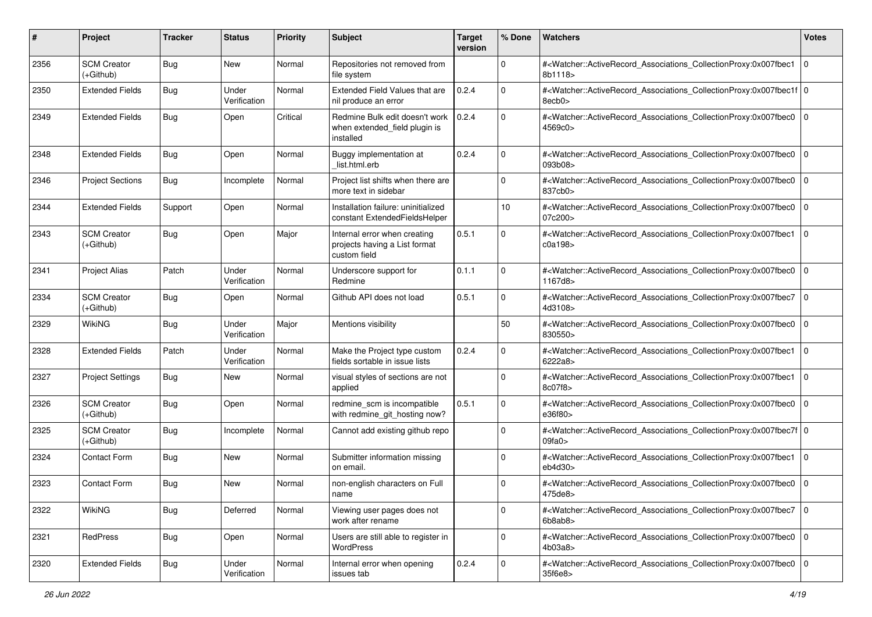| #    | Project                           | <b>Tracker</b> | <b>Status</b>         | <b>Priority</b> | <b>Subject</b>                                                                | <b>Target</b><br>version | % Done      | <b>Watchers</b>                                                                                                                                           | <b>Votes</b>   |
|------|-----------------------------------|----------------|-----------------------|-----------------|-------------------------------------------------------------------------------|--------------------------|-------------|-----------------------------------------------------------------------------------------------------------------------------------------------------------|----------------|
| 2356 | <b>SCM Creator</b><br>(+Github)   | <b>Bug</b>     | New                   | Normal          | Repositories not removed from<br>file system                                  |                          | 0           | # <watcher::activerecord_associations_collectionproxy:0x007fbec1<br>8b1118&gt;</watcher::activerecord_associations_collectionproxy:0x007fbec1<br>         | l O            |
| 2350 | <b>Extended Fields</b>            | <b>Bug</b>     | Under<br>Verification | Normal          | Extended Field Values that are<br>nil produce an error                        | 0.2.4                    | $\Omega$    | # <watcher::activerecord_associations_collectionproxy:0x007fbec1f 0<br=""  ="">8ecb0&gt;</watcher::activerecord_associations_collectionproxy:0x007fbec1f> |                |
| 2349 | <b>Extended Fields</b>            | <b>Bug</b>     | Open                  | Critical        | Redmine Bulk edit doesn't work<br>when extended_field plugin is<br>installed  | 0.2.4                    | $\Omega$    | # <watcher::activerecord_associations_collectionproxy:0x007fbec0 0<br="">4569c0&gt;</watcher::activerecord_associations_collectionproxy:0x007fbec0>       |                |
| 2348 | <b>Extended Fields</b>            | <b>Bug</b>     | Open                  | Normal          | Buggy implementation at<br>list.html.erb                                      | 0.2.4                    | $\Omega$    | # <watcher::activerecord_associations_collectionproxy:0x007fbec0 0<br="">093b08&gt;</watcher::activerecord_associations_collectionproxy:0x007fbec0>       |                |
| 2346 | <b>Project Sections</b>           | <b>Bug</b>     | Incomplete            | Normal          | Project list shifts when there are<br>more text in sidebar                    |                          | $\Omega$    | # <watcher::activerecord_associations_collectionproxy:0x007fbec0<br>837cb0&gt;</watcher::activerecord_associations_collectionproxy:0x007fbec0<br>         | 0              |
| 2344 | <b>Extended Fields</b>            | Support        | Open                  | Normal          | Installation failure: uninitialized<br>constant ExtendedFieldsHelper          |                          | 10          | # <watcher::activerecord_associations_collectionproxy:0x007fbec0<br>07c200&gt;</watcher::activerecord_associations_collectionproxy:0x007fbec0<br>         | 0              |
| 2343 | <b>SCM Creator</b><br>(+Github)   | <b>Bug</b>     | Open                  | Major           | Internal error when creating<br>projects having a List format<br>custom field | 0.5.1                    | $\Omega$    | # <watcher::activerecord_associations_collectionproxy:0x007fbec1<br>c0a198</watcher::activerecord_associations_collectionproxy:0x007fbec1<br>             | l O            |
| 2341 | <b>Project Alias</b>              | Patch          | Under<br>Verification | Normal          | Underscore support for<br>Redmine                                             | 0.1.1                    | 0           | # <watcher::activerecord_associations_collectionproxy:0x007fbec0<br>1167d8&gt;</watcher::activerecord_associations_collectionproxy:0x007fbec0<br>         | 0              |
| 2334 | <b>SCM Creator</b><br>$(+Github)$ | <b>Bug</b>     | Open                  | Normal          | Github API does not load                                                      | 0.5.1                    | $\mathbf 0$ | # <watcher::activerecord_associations_collectionproxy:0x007fbec7<br>4d3108&gt;</watcher::activerecord_associations_collectionproxy:0x007fbec7<br>         | 0              |
| 2329 | <b>WikiNG</b>                     | <b>Bug</b>     | Under<br>Verification | Major           | Mentions visibility                                                           |                          | 50          | # <watcher::activerecord_associations_collectionproxy:0x007fbec0<br>830550&gt;</watcher::activerecord_associations_collectionproxy:0x007fbec0<br>         | l 0            |
| 2328 | <b>Extended Fields</b>            | Patch          | Under<br>Verification | Normal          | Make the Project type custom<br>fields sortable in issue lists                | 0.2.4                    | $\Omega$    | # <watcher::activerecord_associations_collectionproxy:0x007fbec1<br>6222a8&gt;</watcher::activerecord_associations_collectionproxy:0x007fbec1<br>         | 0              |
| 2327 | <b>Project Settings</b>           | <b>Bug</b>     | New                   | Normal          | visual styles of sections are not<br>applied                                  |                          | $\Omega$    | # <watcher::activerecord_associations_collectionproxy:0x007fbec1<br>8c07f8&gt;</watcher::activerecord_associations_collectionproxy:0x007fbec1<br>         | l O            |
| 2326 | <b>SCM Creator</b><br>$(+Github)$ | <b>Bug</b>     | Open                  | Normal          | redmine_scm is incompatible<br>with redmine_git_hosting now?                  | 0.5.1                    | $\mathbf 0$ | # <watcher::activerecord_associations_collectionproxy:0x007fbec0<br>e36f80&gt;</watcher::activerecord_associations_collectionproxy:0x007fbec0<br>         | 0              |
| 2325 | <b>SCM Creator</b><br>(+Github)   | <b>Bug</b>     | Incomplete            | Normal          | Cannot add existing github repo                                               |                          | $\mathbf 0$ | # <watcher::activerecord_associations_collectionproxy:0x007fbec7f 0<br=""  ="">09fa0&gt;</watcher::activerecord_associations_collectionproxy:0x007fbec7f> |                |
| 2324 | Contact Form                      | <b>Bug</b>     | New                   | Normal          | Submitter information missing<br>on email.                                    |                          | $\Omega$    | # <watcher::activerecord_associations_collectionproxy:0x007fbec1<br>eb4d30&gt;</watcher::activerecord_associations_collectionproxy:0x007fbec1<br>         | $\overline{0}$ |
| 2323 | <b>Contact Form</b>               | <b>Bug</b>     | New                   | Normal          | non-english characters on Full<br>name                                        |                          | $\Omega$    | # <watcher::activerecord_associations_collectionproxy:0x007fbec0 0<br="">475de8&gt;</watcher::activerecord_associations_collectionproxy:0x007fbec0>       |                |
| 2322 | WikiNG                            | Bug            | Deferred              | Normal          | Viewing user pages does not<br>work after rename                              |                          | $\mathbf 0$ | # <watcher::activerecord_associations_collectionproxy:0x007fbec7 0<br=""  ="">6b8ab8</watcher::activerecord_associations_collectionproxy:0x007fbec7>      |                |
| 2321 | RedPress                          | <b>Bug</b>     | Open                  | Normal          | Users are still able to register in<br>WordPress                              |                          | $\mathbf 0$ | # <watcher::activerecord_associations_collectionproxy:0x007fbec0 0<br="">4b03a8</watcher::activerecord_associations_collectionproxy:0x007fbec0>           |                |
| 2320 | <b>Extended Fields</b>            | <b>Bug</b>     | Under<br>Verification | Normal          | Internal error when opening<br>issues tab                                     | 0.2.4                    | $\mathbf 0$ | # <watcher::activerecord_associations_collectionproxy:0x007fbec0 0<br=""  ="">35f6e8&gt;</watcher::activerecord_associations_collectionproxy:0x007fbec0>  |                |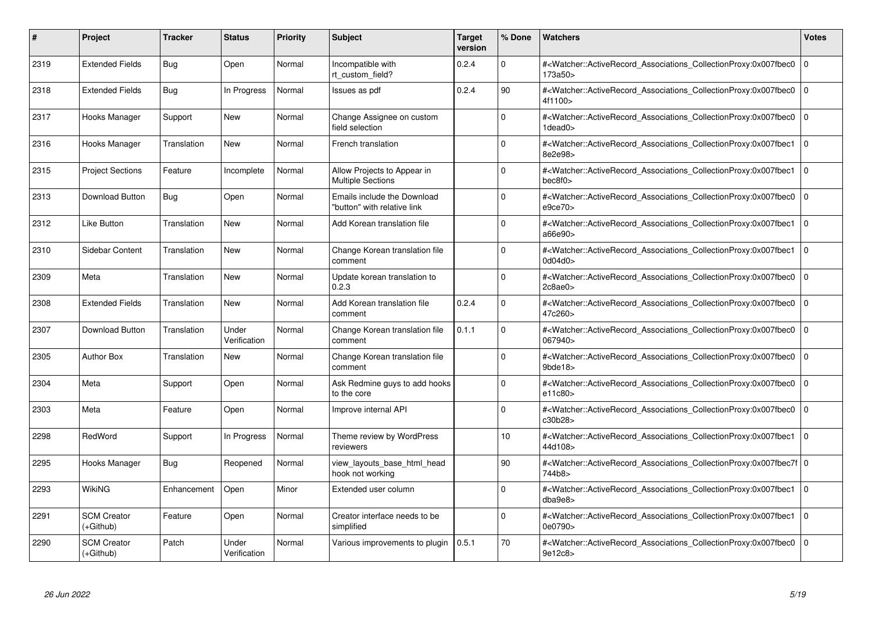| #    | Project                           | Tracker     | <b>Status</b>         | <b>Priority</b> | <b>Subject</b>                                             | <b>Target</b><br>version | % Done      | <b>Watchers</b>                                                                                                                                              | <b>Votes</b>   |
|------|-----------------------------------|-------------|-----------------------|-----------------|------------------------------------------------------------|--------------------------|-------------|--------------------------------------------------------------------------------------------------------------------------------------------------------------|----------------|
| 2319 | <b>Extended Fields</b>            | Bug         | Open                  | Normal          | Incompatible with<br>rt custom field?                      | 0.2.4                    | $\Omega$    | # <watcher::activerecord associations="" collectionproxy:0x007fbec0<br="">173a50&gt;</watcher::activerecord>                                                 | $\Omega$       |
| 2318 | <b>Extended Fields</b>            | Bug         | In Progress           | Normal          | Issues as pdf                                              | 0.2.4                    | 90          | # <watcher::activerecord associations="" collectionproxy:0x007fbec0<br="">4f1100&gt;</watcher::activerecord>                                                 | l O            |
| 2317 | Hooks Manager                     | Support     | <b>New</b>            | Normal          | Change Assignee on custom<br>field selection               |                          | $\Omega$    | # <watcher::activerecord_associations_collectionproxy:0x007fbec0<br>1dead0&gt;</watcher::activerecord_associations_collectionproxy:0x007fbec0<br>            | $\Omega$       |
| 2316 | Hooks Manager                     | Translation | New                   | Normal          | French translation                                         |                          | $\Omega$    | # <watcher::activerecord associations="" collectionproxy:0x007fbec1<br="">8e2e98&gt;</watcher::activerecord>                                                 | l o            |
| 2315 | <b>Project Sections</b>           | Feature     | Incomplete            | Normal          | Allow Projects to Appear in<br><b>Multiple Sections</b>    |                          | $\Omega$    | # <watcher::activerecord_associations_collectionproxy:0x007fbec1<br>bec8f0<sub>&gt;</sub></watcher::activerecord_associations_collectionproxy:0x007fbec1<br> | $\Omega$       |
| 2313 | Download Button                   | Bug         | Open                  | Normal          | Emails include the Download<br>"button" with relative link |                          | $\Omega$    | # <watcher::activerecord_associations_collectionproxy:0x007fbec0<br>e9ce70&gt;</watcher::activerecord_associations_collectionproxy:0x007fbec0<br>            | $\overline{0}$ |
| 2312 | <b>Like Button</b>                | Translation | New                   | Normal          | Add Korean translation file                                |                          | $\Omega$    | # <watcher::activerecord associations="" collectionproxy:0x007fbec1<br="">a66e90&gt;</watcher::activerecord>                                                 | $\Omega$       |
| 2310 | Sidebar Content                   | Translation | New                   | Normal          | Change Korean translation file<br>comment                  |                          | $\Omega$    | # <watcher::activerecord associations="" collectionproxy:0x007fbec1<br="">0d04d0&gt;</watcher::activerecord>                                                 | $\overline{0}$ |
| 2309 | Meta                              | Translation | <b>New</b>            | Normal          | Update korean translation to<br>0.2.3                      |                          | $\Omega$    | # <watcher::activerecord_associations_collectionproxy:0x007fbec0<br>2c8ae0&gt;</watcher::activerecord_associations_collectionproxy:0x007fbec0<br>            | $\Omega$       |
| 2308 | <b>Extended Fields</b>            | Translation | New                   | Normal          | Add Korean translation file<br>comment                     | 0.2.4                    | $\Omega$    | # <watcher::activerecord associations="" collectionproxy:0x007fbec0<br="">47c260&gt;</watcher::activerecord>                                                 | $\overline{0}$ |
| 2307 | Download Button                   | Translation | Under<br>Verification | Normal          | Change Korean translation file<br>comment                  | 0.1.1                    | $\Omega$    | # <watcher::activerecord_associations_collectionproxy:0x007fbec0<br>067940&gt;</watcher::activerecord_associations_collectionproxy:0x007fbec0<br>            | $\overline{0}$ |
| 2305 | <b>Author Box</b>                 | Translation | <b>New</b>            | Normal          | Change Korean translation file<br>comment                  |                          | $\Omega$    | # <watcher::activerecord_associations_collectionproxy:0x007fbec0 0<br="">9bde18</watcher::activerecord_associations_collectionproxy:0x007fbec0>              |                |
| 2304 | Meta                              | Support     | Open                  | Normal          | Ask Redmine guys to add hooks<br>to the core               |                          | $\mathbf 0$ | # <watcher::activerecord associations="" collectionproxy:0x007fbec0<br="">e11c80&gt;</watcher::activerecord>                                                 | $\overline{0}$ |
| 2303 | Meta                              | Feature     | Open                  | Normal          | Improve internal API                                       |                          | $\Omega$    | # <watcher::activerecord_associations_collectionproxy:0x007fbec0<br>c30b28&gt;</watcher::activerecord_associations_collectionproxy:0x007fbec0<br>            | $\overline{0}$ |
| 2298 | RedWord                           | Support     | In Progress           | Normal          | Theme review by WordPress<br>reviewers                     |                          | 10          | # <watcher::activerecord associations="" collectionproxy:0x007fbec1<br="">44d108&gt;</watcher::activerecord>                                                 | $\overline{0}$ |
| 2295 | Hooks Manager                     | <b>Bug</b>  | Reopened              | Normal          | view_layouts_base_html_head<br>hook not working            |                          | 90          | # <watcher::activerecord_associations_collectionproxy:0x007fbec7f 0<br=""  ="">744b8&gt;</watcher::activerecord_associations_collectionproxy:0x007fbec7f>    |                |
| 2293 | WikiNG                            | Enhancement | Open                  | Minor           | Extended user column                                       |                          | $\Omega$    | # <watcher::activerecord_associations_collectionproxy:0x007fbec1<br>dba9e8</watcher::activerecord_associations_collectionproxy:0x007fbec1<br>                | l 0            |
| 2291 | <b>SCM Creator</b><br>(+Github)   | Feature     | Open                  | Normal          | Creator interface needs to be<br>simplified                |                          | $\mathbf 0$ | # <watcher::activerecord associations="" collectionproxy:0x007fbec1<br="">0e0790&gt;</watcher::activerecord>                                                 | $\overline{0}$ |
| 2290 | <b>SCM Creator</b><br>$(+Github)$ | Patch       | Under<br>Verification | Normal          | Various improvements to plugin                             | 0.5.1                    | 70          | # <watcher::activerecord_associations_collectionproxy:0x007fbec0<br>9e12c8&gt;</watcher::activerecord_associations_collectionproxy:0x007fbec0<br>            | $\overline{0}$ |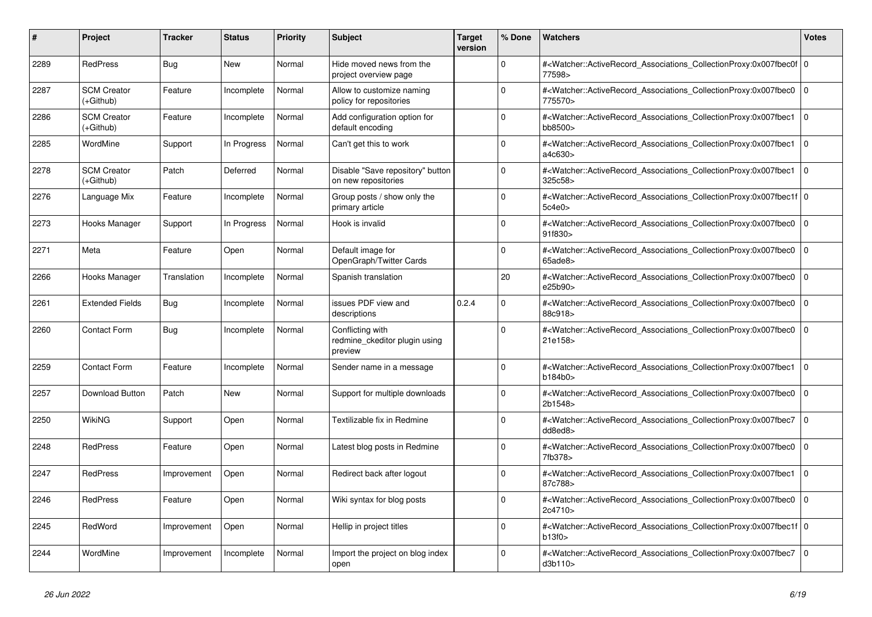| #    | Project                         | <b>Tracker</b> | <b>Status</b> | <b>Priority</b> | <b>Subject</b>                                               | <b>Target</b><br>version | % Done       | <b>Watchers</b>                                                                                                                                           | <b>Votes</b> |
|------|---------------------------------|----------------|---------------|-----------------|--------------------------------------------------------------|--------------------------|--------------|-----------------------------------------------------------------------------------------------------------------------------------------------------------|--------------|
| 2289 | <b>RedPress</b>                 | Bug            | <b>New</b>    | Normal          | Hide moved news from the<br>project overview page            |                          | $\Omega$     | # <watcher::activerecord_associations_collectionproxy:0x007fbec0f 0<br=""  ="">77598&gt;</watcher::activerecord_associations_collectionproxy:0x007fbec0f> |              |
| 2287 | <b>SCM Creator</b><br>(+Github) | Feature        | Incomplete    | Normal          | Allow to customize naming<br>policy for repositories         |                          | $\Omega$     | # <watcher::activerecord associations="" collectionproxy:0x007fbec0<br="">775570&gt;</watcher::activerecord>                                              | $\Omega$     |
| 2286 | <b>SCM Creator</b><br>(+Github) | Feature        | Incomplete    | Normal          | Add configuration option for<br>default encoding             |                          | $\Omega$     | # <watcher::activerecord_associations_collectionproxy:0x007fbec1 0<br="">bb8500&gt;</watcher::activerecord_associations_collectionproxy:0x007fbec1>       |              |
| 2285 | WordMine                        | Support        | In Progress   | Normal          | Can't get this to work                                       |                          | $\Omega$     | # <watcher::activerecord_associations_collectionproxy:0x007fbec1<br>a4c630&gt;</watcher::activerecord_associations_collectionproxy:0x007fbec1<br>         | $\mathbf 0$  |
| 2278 | <b>SCM Creator</b><br>(+Github) | Patch          | Deferred      | Normal          | Disable "Save repository" button<br>on new repositories      |                          | $\Omega$     | # <watcher::activerecord associations="" collectionproxy:0x007fbec1<br="">325c58&gt;</watcher::activerecord>                                              | $\Omega$     |
| 2276 | Language Mix                    | Feature        | Incomplete    | Normal          | Group posts / show only the<br>primary article               |                          | $\Omega$     | # <watcher::activerecord_associations_collectionproxy:0x007fbec1f 0<br=""  ="">5c4e0</watcher::activerecord_associations_collectionproxy:0x007fbec1f>     |              |
| 2273 | Hooks Manager                   | Support        | In Progress   | Normal          | Hook is invalid                                              |                          | $\Omega$     | # <watcher::activerecord_associations_collectionproxy:0x007fbec0<br>91f830&gt;</watcher::activerecord_associations_collectionproxy:0x007fbec0<br>         | $\mathbf 0$  |
| 2271 | Meta                            | Feature        | Open          | Normal          | Default image for<br>OpenGraph/Twitter Cards                 |                          | $\mathbf 0$  | # <watcher::activerecord_associations_collectionproxy:0x007fbec0<br>65ade8&gt;</watcher::activerecord_associations_collectionproxy:0x007fbec0<br>         | $\mathbf 0$  |
| 2266 | Hooks Manager                   | Translation    | Incomplete    | Normal          | Spanish translation                                          |                          | 20           | # <watcher::activerecord_associations_collectionproxy:0x007fbec0 0<br="">e25b90&gt;</watcher::activerecord_associations_collectionproxy:0x007fbec0>       |              |
| 2261 | <b>Extended Fields</b>          | Bug            | Incomplete    | Normal          | issues PDF view and<br>descriptions                          | 0.2.4                    | $\mathbf{0}$ | # <watcher::activerecord associations="" collectionproxy:0x007fbec0<br="">88c918&gt;</watcher::activerecord>                                              | $\mathbf 0$  |
| 2260 | <b>Contact Form</b>             | <b>Bug</b>     | Incomplete    | Normal          | Conflicting with<br>redmine ckeditor plugin using<br>preview |                          | $\mathbf 0$  | # <watcher::activerecord_associations_collectionproxy:0x007fbec0<br>21e158&gt;</watcher::activerecord_associations_collectionproxy:0x007fbec0<br>         | $\mathbf 0$  |
| 2259 | <b>Contact Form</b>             | Feature        | Incomplete    | Normal          | Sender name in a message                                     |                          | $\Omega$     | # <watcher::activerecord_associations_collectionproxy:0x007fbec1 0<br=""  ="">b184b0&gt;</watcher::activerecord_associations_collectionproxy:0x007fbec1>  |              |
| 2257 | Download Button                 | Patch          | New           | Normal          | Support for multiple downloads                               |                          | $\Omega$     | # <watcher::activerecord associations="" collectionproxy:0x007fbec0<br="">2b1548&gt;</watcher::activerecord>                                              | $\mathbf 0$  |
| 2250 | <b>WikiNG</b>                   | Support        | Open          | Normal          | Textilizable fix in Redmine                                  |                          | $\Omega$     | # <watcher::activerecord associations="" collectionproxy:0x007fbec7<br="">dd8ed8&gt;</watcher::activerecord>                                              | $\mathbf 0$  |
| 2248 | <b>RedPress</b>                 | Feature        | Open          | Normal          | Latest blog posts in Redmine                                 |                          | $\Omega$     | # <watcher::activerecord_associations_collectionproxy:0x007fbec0  <br="">7fb378&gt;</watcher::activerecord_associations_collectionproxy:0x007fbec0>       | $\mathbf 0$  |
| 2247 | <b>RedPress</b>                 | Improvement    | Open          | Normal          | Redirect back after logout                                   |                          | $\Omega$     | # <watcher::activerecord associations="" collectionproxy:0x007fbec1<br="">87c788&gt;</watcher::activerecord>                                              | $\mathbf 0$  |
| 2246 | <b>RedPress</b>                 | Feature        | Open          | Normal          | Wiki syntax for blog posts                                   |                          | $\Omega$     | # <watcher::activerecord_associations_collectionproxy:0x007fbec0<br>2c4710&gt;</watcher::activerecord_associations_collectionproxy:0x007fbec0<br>         | $\mathbf 0$  |
| 2245 | RedWord                         | Improvement    | Open          | Normal          | Hellip in project titles                                     |                          | $\Omega$     | # <watcher::activerecord 0<br="" associations="" collectionproxy:0x007fbec1f=""  ="">b13f0</watcher::activerecord>                                        |              |
| 2244 | WordMine                        | Improvement    | Incomplete    | Normal          | Import the project on blog index<br>open                     |                          | $\Omega$     | # <watcher::activerecord_associations_collectionproxy:0x007fbec7<br>d3b110&gt;</watcher::activerecord_associations_collectionproxy:0x007fbec7<br>         | $\mathbf 0$  |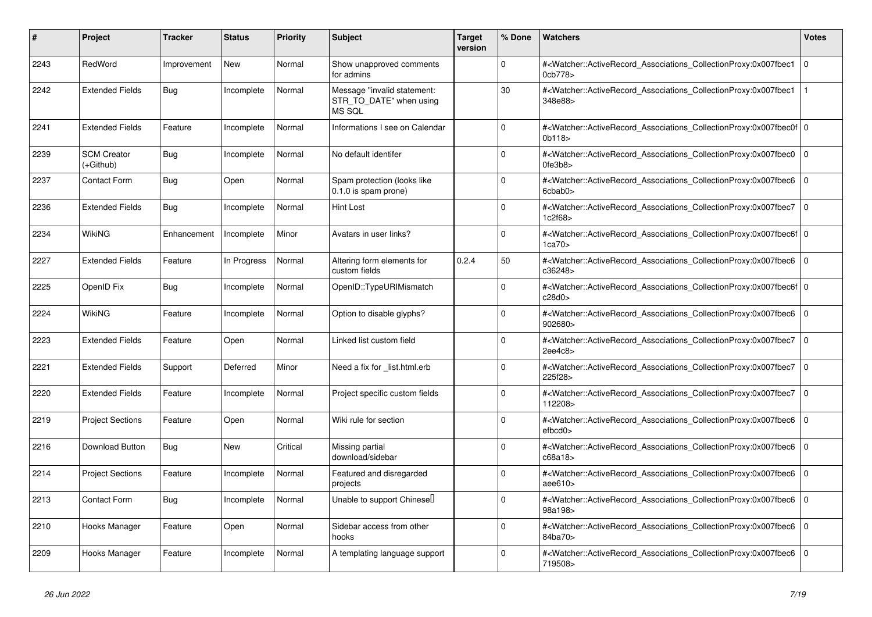| #    | <b>Project</b>                  | <b>Tracker</b> | <b>Status</b> | <b>Priority</b> | <b>Subject</b>                                                   | <b>Target</b><br>version | % Done      | Watchers                                                                                                                                                  | <b>Votes</b>   |
|------|---------------------------------|----------------|---------------|-----------------|------------------------------------------------------------------|--------------------------|-------------|-----------------------------------------------------------------------------------------------------------------------------------------------------------|----------------|
| 2243 | RedWord                         | Improvement    | <b>New</b>    | Normal          | Show unapproved comments<br>for admins                           |                          | $\Omega$    | # <watcher::activerecord_associations_collectionproxy:0x007fbec1<br>0cb778&gt;</watcher::activerecord_associations_collectionproxy:0x007fbec1<br>         | $\overline{0}$ |
| 2242 | <b>Extended Fields</b>          | Bug            | Incomplete    | Normal          | Message "invalid statement:<br>STR_TO_DATE" when using<br>MS SQL |                          | 30          | # <watcher::activerecord_associations_collectionproxy:0x007fbec1<br>348e88&gt;</watcher::activerecord_associations_collectionproxy:0x007fbec1<br>         |                |
| 2241 | <b>Extended Fields</b>          | Feature        | Incomplete    | Normal          | Informations I see on Calendar                                   |                          | $\Omega$    | # <watcher::activerecord_associations_collectionproxy:0x007fbec0f 0<br=""  ="">0b118&gt;</watcher::activerecord_associations_collectionproxy:0x007fbec0f> |                |
| 2239 | <b>SCM Creator</b><br>(+Github) | Bug            | Incomplete    | Normal          | No default identifer                                             |                          | $\Omega$    | # <watcher::activerecord associations="" collectionproxy:0x007fbec0<br="">0fe3b8</watcher::activerecord>                                                  | $\Omega$       |
| 2237 | <b>Contact Form</b>             | Bug            | Open          | Normal          | Spam protection (looks like<br>0.1.0 is spam prone)              |                          | $\Omega$    | # <watcher::activerecord_associations_collectionproxy:0x007fbec6 0<br=""  ="">6cbab0&gt;</watcher::activerecord_associations_collectionproxy:0x007fbec6>  |                |
| 2236 | <b>Extended Fields</b>          | Bug            | Incomplete    | Normal          | Hint Lost                                                        |                          | $\Omega$    | # <watcher::activerecord associations="" collectionproxy:0x007fbec7<br="">1c2f68</watcher::activerecord>                                                  | l O            |
| 2234 | <b>WikiNG</b>                   | Enhancement    | Incomplete    | Minor           | Avatars in user links?                                           |                          | $\Omega$    | # <watcher::activerecord_associations_collectionproxy:0x007fbec6f 0<br=""  ="">1ca70&gt;</watcher::activerecord_associations_collectionproxy:0x007fbec6f> |                |
| 2227 | <b>Extended Fields</b>          | Feature        | In Progress   | Normal          | Altering form elements for<br>custom fields                      | 0.2.4                    | 50          | # <watcher::activerecord_associations_collectionproxy:0x007fbec6 0<br=""  ="">c36248&gt;</watcher::activerecord_associations_collectionproxy:0x007fbec6>  |                |
| 2225 | OpenID Fix                      | Bug            | Incomplete    | Normal          | OpenID::TypeURIMismatch                                          |                          | $\mathbf 0$ | # <watcher::activerecord_associations_collectionproxy:0x007fbec6f 0<br=""  ="">c28d0&gt;</watcher::activerecord_associations_collectionproxy:0x007fbec6f> |                |
| 2224 | WikiNG                          | Feature        | Incomplete    | Normal          | Option to disable glyphs?                                        |                          | $\Omega$    | # <watcher::activerecord_associations_collectionproxy:0x007fbec6<br>902680&gt;</watcher::activerecord_associations_collectionproxy:0x007fbec6<br>         | $\Omega$       |
| 2223 | <b>Extended Fields</b>          | Feature        | Open          | Normal          | Linked list custom field                                         |                          | $\Omega$    | # <watcher::activerecord associations="" collectionproxy:0x007fbec7<br="">2ee4c8&gt;</watcher::activerecord>                                              | l o            |
| 2221 | <b>Extended Fields</b>          | Support        | Deferred      | Minor           | Need a fix for list.html.erb                                     |                          | $\mathbf 0$ | # <watcher::activerecord_associations_collectionproxy:0x007fbec7<br>225f28&gt;</watcher::activerecord_associations_collectionproxy:0x007fbec7<br>         | l o            |
| 2220 | <b>Extended Fields</b>          | Feature        | Incomplete    | Normal          | Project specific custom fields                                   |                          | $\Omega$    | # <watcher::activerecord_associations_collectionproxy:0x007fbec7<br>112208&gt;</watcher::activerecord_associations_collectionproxy:0x007fbec7<br>         | $\Omega$       |
| 2219 | <b>Project Sections</b>         | Feature        | Open          | Normal          | Wiki rule for section                                            |                          | $\Omega$    | # <watcher::activerecord_associations_collectionproxy:0x007fbec6 0<br="">efbcd0</watcher::activerecord_associations_collectionproxy:0x007fbec6>           |                |
| 2216 | Download Button                 | Bug            | <b>New</b>    | Critical        | Missing partial<br>download/sidebar                              |                          | $\Omega$    | # <watcher::activerecord_associations_collectionproxy:0x007fbec6<br>c68a18&gt;</watcher::activerecord_associations_collectionproxy:0x007fbec6<br>         | $\overline{0}$ |
| 2214 | <b>Project Sections</b>         | Feature        | Incomplete    | Normal          | Featured and disregarded<br>projects                             |                          | $\mathbf 0$ | # <watcher::activerecord_associations_collectionproxy:0x007fbec6<br>aee610&gt;</watcher::activerecord_associations_collectionproxy:0x007fbec6<br>         | $\overline{0}$ |
| 2213 | Contact Form                    | <b>Bug</b>     | Incomplete    | Normal          | Unable to support Chinesel                                       |                          | $\Omega$    | # <watcher::activerecord_associations_collectionproxy:0x007fbec6<br>98a198&gt;</watcher::activerecord_associations_collectionproxy:0x007fbec6<br>         | $\overline{0}$ |
| 2210 | Hooks Manager                   | Feature        | Open          | Normal          | Sidebar access from other<br>hooks                               |                          | $\Omega$    | # <watcher::activerecord associations="" collectionproxy:0x007fbec6<br="">84ba70&gt;</watcher::activerecord>                                              | l 0            |
| 2209 | Hooks Manager                   | Feature        | Incomplete    | Normal          | A templating language support                                    |                          | $\Omega$    | # <watcher::activerecord_associations_collectionproxy:0x007fbec6<br>719508&gt;</watcher::activerecord_associations_collectionproxy:0x007fbec6<br>         | $\overline{0}$ |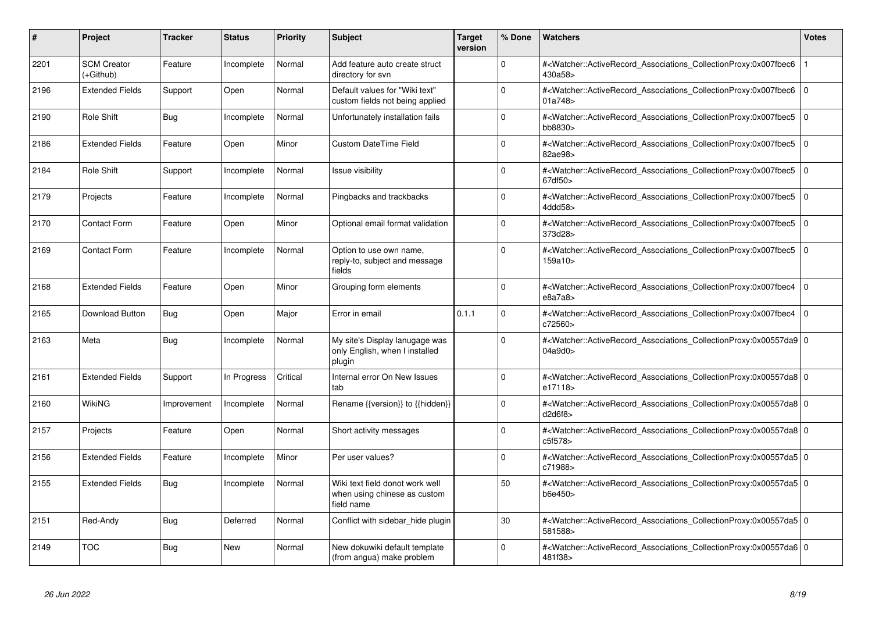| #    | Project                         | <b>Tracker</b> | <b>Status</b> | <b>Priority</b> | <b>Subject</b>                                                                | <b>Target</b><br>version | % Done   | <b>Watchers</b>                                                                                                                                          | Votes          |
|------|---------------------------------|----------------|---------------|-----------------|-------------------------------------------------------------------------------|--------------------------|----------|----------------------------------------------------------------------------------------------------------------------------------------------------------|----------------|
| 2201 | <b>SCM Creator</b><br>(+Github) | Feature        | Incomplete    | Normal          | Add feature auto create struct<br>directory for svn                           |                          | $\Omega$ | # <watcher::activerecord associations="" collectionproxy:0x007fbec6<br="">430a58&gt;</watcher::activerecord>                                             |                |
| 2196 | <b>Extended Fields</b>          | Support        | Open          | Normal          | Default values for "Wiki text"<br>custom fields not being applied             |                          | $\Omega$ | # <watcher::activerecord_associations_collectionproxy:0x007fbec6<br>01a748&gt;</watcher::activerecord_associations_collectionproxy:0x007fbec6<br>        | $\overline{0}$ |
| 2190 | Role Shift                      | Bug            | Incomplete    | Normal          | Unfortunately installation fails                                              |                          | $\Omega$ | # <watcher::activerecord associations="" collectionproxy:0x007fbec5<br="">bb8830&gt;</watcher::activerecord>                                             | l O            |
| 2186 | <b>Extended Fields</b>          | Feature        | Open          | Minor           | <b>Custom DateTime Field</b>                                                  |                          | $\Omega$ | # <watcher::activerecord_associations_collectionproxy:0x007fbec5<br>82ae98&gt;</watcher::activerecord_associations_collectionproxy:0x007fbec5<br>        | $\overline{0}$ |
| 2184 | Role Shift                      | Support        | Incomplete    | Normal          | <b>Issue visibility</b>                                                       |                          | $\Omega$ | # <watcher::activerecord_associations_collectionproxy:0x007fbec5<br>67df50&gt;</watcher::activerecord_associations_collectionproxy:0x007fbec5<br>        | $\overline{0}$ |
| 2179 | Projects                        | Feature        | Incomplete    | Normal          | Pingbacks and trackbacks                                                      |                          | $\Omega$ | # <watcher::activerecord_associations_collectionproxy:0x007fbec5<br>4ddd58</watcher::activerecord_associations_collectionproxy:0x007fbec5<br>            | $\overline{0}$ |
| 2170 | <b>Contact Form</b>             | Feature        | Open          | Minor           | Optional email format validation                                              |                          | $\Omega$ | # <watcher::activerecord_associations_collectionproxy:0x007fbec5<br>373d28&gt;</watcher::activerecord_associations_collectionproxy:0x007fbec5<br>        | $\overline{0}$ |
| 2169 | Contact Form                    | Feature        | Incomplete    | Normal          | Option to use own name,<br>reply-to, subject and message<br>fields            |                          | $\Omega$ | # <watcher::activerecord_associations_collectionproxy:0x007fbec5<br>159a10&gt;</watcher::activerecord_associations_collectionproxy:0x007fbec5<br>        | 0              |
| 2168 | <b>Extended Fields</b>          | Feature        | Open          | Minor           | Grouping form elements                                                        |                          | $\Omega$ | # <watcher::activerecord_associations_collectionproxy:0x007fbec4<br>e8a7a8</watcher::activerecord_associations_collectionproxy:0x007fbec4<br>            | $\overline{0}$ |
| 2165 | Download Button                 | Bug            | Open          | Major           | Error in email                                                                | 0.1.1                    | $\Omega$ | # <watcher::activerecord_associations_collectionproxy:0x007fbec4<br>c72560&gt;</watcher::activerecord_associations_collectionproxy:0x007fbec4<br>        | $\overline{0}$ |
| 2163 | Meta                            | Bug            | Incomplete    | Normal          | My site's Display lanugage was<br>only English, when I installed<br>plugin    |                          | $\Omega$ | # <watcher::activerecord_associations_collectionproxy:0x00557da9 0<br="">04a9d0&gt;</watcher::activerecord_associations_collectionproxy:0x00557da9>      |                |
| 2161 | <b>Extended Fields</b>          | Support        | In Progress   | Critical        | Internal error On New Issues<br>tab                                           |                          | $\Omega$ | # <watcher::activerecord 0<br="" associations="" collectionproxy:0x00557da8=""  ="">e17118&gt;</watcher::activerecord>                                   |                |
| 2160 | WikiNG                          | Improvement    | Incomplete    | Normal          | Rename {{version}} to {{hidden}}                                              |                          | $\Omega$ | # <watcher::activerecord_associations_collectionproxy:0x00557da8 0<br="">d2d6f8&gt;</watcher::activerecord_associations_collectionproxy:0x00557da8>      |                |
| 2157 | Projects                        | Feature        | Open          | Normal          | Short activity messages                                                       |                          | $\Omega$ | # <watcher::activerecord_associations_collectionproxy:0x00557da8 0<br=""  ="">c5f578&gt;</watcher::activerecord_associations_collectionproxy:0x00557da8> |                |
| 2156 | <b>Extended Fields</b>          | Feature        | Incomplete    | Minor           | Per user values?                                                              |                          | $\Omega$ | # <watcher::activerecord_associations_collectionproxy:0x00557da5 0<br=""  ="">c71988&gt;</watcher::activerecord_associations_collectionproxy:0x00557da5> |                |
| 2155 | <b>Extended Fields</b>          | Bug            | Incomplete    | Normal          | Wiki text field donot work well<br>when using chinese as custom<br>field name |                          | 50       | # <watcher::activerecord_associations_collectionproxy:0x00557da5 0<br="">b6e450&gt;</watcher::activerecord_associations_collectionproxy:0x00557da5>      |                |
| 2151 | Red-Andy                        | Bug            | Deferred      | Normal          | Conflict with sidebar_hide plugin                                             |                          | 30       | # <watcher::activerecord_associations_collectionproxy:0x00557da5 0<br=""  ="">581588&gt;</watcher::activerecord_associations_collectionproxy:0x00557da5> |                |
| 2149 | <b>TOC</b>                      | Bug            | <b>New</b>    | Normal          | New dokuwiki default template<br>(from angua) make problem                    |                          | $\Omega$ | # <watcher::activerecord_associations_collectionproxy:0x00557da6 0<br=""  ="">481f38&gt;</watcher::activerecord_associations_collectionproxy:0x00557da6> |                |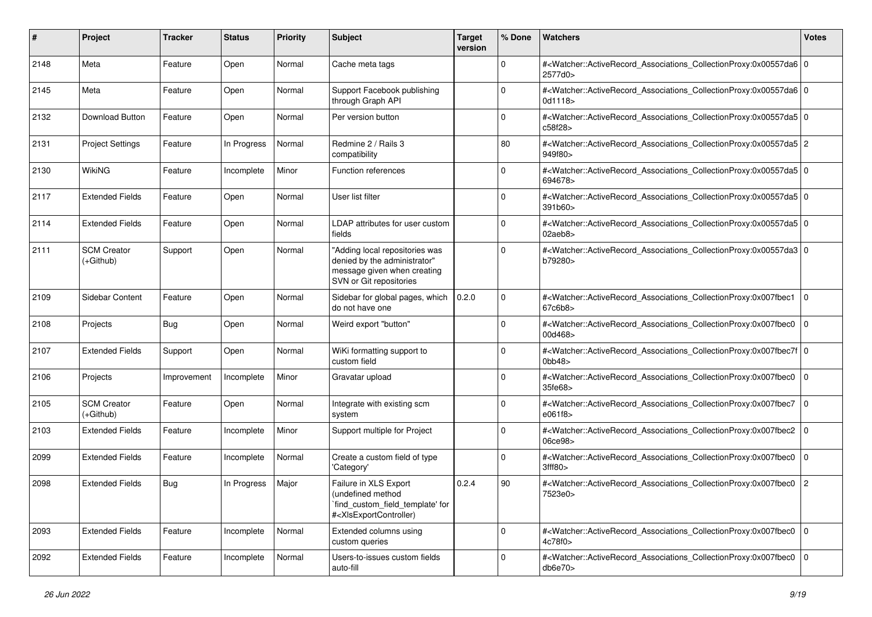| #    | Project                           | Tracker     | <b>Status</b> | <b>Priority</b> | <b>Subject</b>                                                                                                                                                                                                                                                                                                                         | <b>Target</b><br>version | % Done      | Watchers                                                                                                                                                 | <b>Votes</b> |
|------|-----------------------------------|-------------|---------------|-----------------|----------------------------------------------------------------------------------------------------------------------------------------------------------------------------------------------------------------------------------------------------------------------------------------------------------------------------------------|--------------------------|-------------|----------------------------------------------------------------------------------------------------------------------------------------------------------|--------------|
| 2148 | Meta                              | Feature     | Open          | Normal          | Cache meta tags                                                                                                                                                                                                                                                                                                                        |                          | 0           | # <watcher::activerecord_associations_collectionproxy:0x00557da6 0<br="">2577d0&gt;</watcher::activerecord_associations_collectionproxy:0x00557da6>      |              |
| 2145 | Meta                              | Feature     | Open          | Normal          | Support Facebook publishing<br>through Graph API                                                                                                                                                                                                                                                                                       |                          | $\Omega$    | # <watcher::activerecord_associations_collectionproxy:0x00557da6 0<br="">0d1118&gt;</watcher::activerecord_associations_collectionproxy:0x00557da6>      |              |
| 2132 | Download Button                   | Feature     | Open          | Normal          | Per version button                                                                                                                                                                                                                                                                                                                     |                          | $\mathbf 0$ | # <watcher::activerecord_associations_collectionproxy:0x00557da5 0<br=""  ="">c58f28&gt;</watcher::activerecord_associations_collectionproxy:0x00557da5> |              |
| 2131 | <b>Project Settings</b>           | Feature     | In Progress   | Normal          | Redmine 2 / Rails 3<br>compatibility                                                                                                                                                                                                                                                                                                   |                          | 80          | # <watcher::activerecord_associations_collectionproxy:0x00557da5 2<br="">949f80&gt;</watcher::activerecord_associations_collectionproxy:0x00557da5>      |              |
| 2130 | WikiNG                            | Feature     | Incomplete    | Minor           | Function references                                                                                                                                                                                                                                                                                                                    |                          | $\mathbf 0$ | # <watcher::activerecord_associations_collectionproxy:0x00557da5 0<br=""  ="">694678&gt;</watcher::activerecord_associations_collectionproxy:0x00557da5> |              |
| 2117 | <b>Extended Fields</b>            | Feature     | Open          | Normal          | User list filter                                                                                                                                                                                                                                                                                                                       |                          | $\Omega$    | # <watcher::activerecord_associations_collectionproxy:0x00557da5 0<br=""  ="">391b60&gt;</watcher::activerecord_associations_collectionproxy:0x00557da5> |              |
| 2114 | <b>Extended Fields</b>            | Feature     | Open          | Normal          | LDAP attributes for user custom<br>fields                                                                                                                                                                                                                                                                                              |                          | $\mathbf 0$ | # <watcher::activerecord_associations_collectionproxy:0x00557da5 0<br="">02aeb8</watcher::activerecord_associations_collectionproxy:0x00557da5>          |              |
| 2111 | <b>SCM Creator</b><br>$(+Github)$ | Support     | Open          | Normal          | "Adding local repositories was<br>denied by the administrator"<br>message given when creating<br>SVN or Git repositories                                                                                                                                                                                                               |                          | $\mathbf 0$ | # <watcher::activerecord_associations_collectionproxy:0x00557da3 0<br=""  ="">b79280&gt;</watcher::activerecord_associations_collectionproxy:0x00557da3> |              |
| 2109 | Sidebar Content                   | Feature     | Open          | Normal          | Sidebar for global pages, which<br>do not have one                                                                                                                                                                                                                                                                                     | 0.2.0                    | $\mathbf 0$ | # <watcher::activerecord_associations_collectionproxy:0x007fbec1<br>67c6b8&gt;</watcher::activerecord_associations_collectionproxy:0x007fbec1<br>        | l O          |
| 2108 | Projects                          | Bug         | Open          | Normal          | Weird export "button"                                                                                                                                                                                                                                                                                                                  |                          | $\mathbf 0$ | # <watcher::activerecord_associations_collectionproxy:0x007fbec0 0<br="">00d468&gt;</watcher::activerecord_associations_collectionproxy:0x007fbec0>      |              |
| 2107 | <b>Extended Fields</b>            | Support     | Open          | Normal          | WiKi formatting support to<br>custom field                                                                                                                                                                                                                                                                                             |                          | $\mathbf 0$ | # <watcher::activerecord_associations_collectionproxy:0x007fbec7f 0<br=""  ="">0bb48</watcher::activerecord_associations_collectionproxy:0x007fbec7f>    |              |
| 2106 | Projects                          | Improvement | Incomplete    | Minor           | Gravatar upload                                                                                                                                                                                                                                                                                                                        |                          | $\Omega$    | # <watcher::activerecord_associations_collectionproxy:0x007fbec0<br>35fe68&gt;</watcher::activerecord_associations_collectionproxy:0x007fbec0<br>        | $\Omega$     |
| 2105 | <b>SCM Creator</b><br>$(+Github)$ | Feature     | Open          | Normal          | Integrate with existing scm<br>system                                                                                                                                                                                                                                                                                                  |                          | $\Omega$    | # <watcher::activerecord_associations_collectionproxy:0x007fbec7 0<br=""  ="">e061f8&gt;</watcher::activerecord_associations_collectionproxy:0x007fbec7> |              |
| 2103 | <b>Extended Fields</b>            | Feature     | Incomplete    | Minor           | Support multiple for Project                                                                                                                                                                                                                                                                                                           |                          | $\mathbf 0$ | # <watcher::activerecord_associations_collectionproxy:0x007fbec2 0<br="">06ce98&gt;</watcher::activerecord_associations_collectionproxy:0x007fbec2>      |              |
| 2099 | <b>Extended Fields</b>            | Feature     | Incomplete    | Normal          | Create a custom field of type<br>'Category'                                                                                                                                                                                                                                                                                            |                          | $\mathbf 0$ | # <watcher::activerecord_associations_collectionproxy:0x007fbec0<br>3fff80</watcher::activerecord_associations_collectionproxy:0x007fbec0<br>            | l 0          |
| 2098 | <b>Extended Fields</b>            | Bug         | In Progress   | Major           | Failure in XLS Export<br>(undefined method<br>`find_custom_field_template' for<br># <xisexportcontroller)< td=""><td>0.2.4</td><td>90</td><td>#<watcher::activerecord_associations_collectionproxy:0x007fbec0 2<br="">7523e0&gt;</watcher::activerecord_associations_collectionproxy:0x007fbec0></td><td></td></xisexportcontroller)<> | 0.2.4                    | 90          | # <watcher::activerecord_associations_collectionproxy:0x007fbec0 2<br="">7523e0&gt;</watcher::activerecord_associations_collectionproxy:0x007fbec0>      |              |
| 2093 | <b>Extended Fields</b>            | Feature     | Incomplete    | Normal          | Extended columns using<br>custom queries                                                                                                                                                                                                                                                                                               |                          | $\mathbf 0$ | # <watcher::activerecord_associations_collectionproxy:0x007fbec0 0<br="">4c78f0</watcher::activerecord_associations_collectionproxy:0x007fbec0>          |              |
| 2092 | <b>Extended Fields</b>            | Feature     | Incomplete    | Normal          | Users-to-issues custom fields<br>auto-fill                                                                                                                                                                                                                                                                                             |                          | $\mathbf 0$ | # <watcher::activerecord_associations_collectionproxy:0x007fbec0 0<br="">db6e70&gt;</watcher::activerecord_associations_collectionproxy:0x007fbec0>      |              |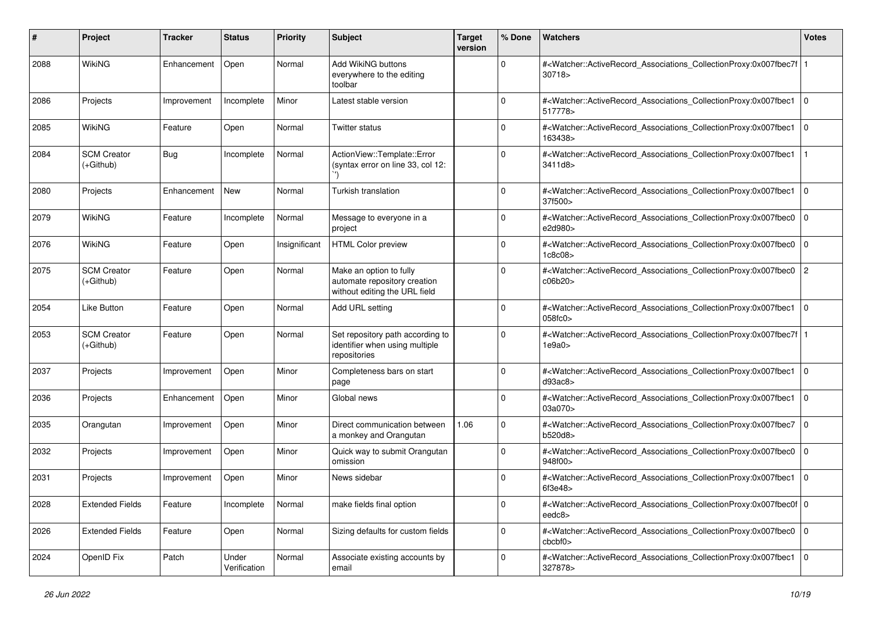| #    | Project                           | Tracker     | <b>Status</b>         | <b>Priority</b> | <b>Subject</b>                                                                           | <b>Target</b><br>version | % Done      | Watchers                                                                                                                                                  | <b>Votes</b>   |
|------|-----------------------------------|-------------|-----------------------|-----------------|------------------------------------------------------------------------------------------|--------------------------|-------------|-----------------------------------------------------------------------------------------------------------------------------------------------------------|----------------|
| 2088 | <b>WikiNG</b>                     | Enhancement | Open                  | Normal          | Add WikiNG buttons<br>everywhere to the editing<br>toolbar                               |                          | $\mathbf 0$ | # <watcher::activerecord_associations_collectionproxy:0x007fbec7f  <br="">30718</watcher::activerecord_associations_collectionproxy:0x007fbec7f>          |                |
| 2086 | Projects                          | Improvement | Incomplete            | Minor           | Latest stable version                                                                    |                          | $\Omega$    | # <watcher::activerecord_associations_collectionproxy:0x007fbec1 0<br=""  ="">517778&gt;</watcher::activerecord_associations_collectionproxy:0x007fbec1>  |                |
| 2085 | <b>WikiNG</b>                     | Feature     | Open                  | Normal          | <b>Twitter status</b>                                                                    |                          | $\Omega$    | # <watcher::activerecord_associations_collectionproxy:0x007fbec1<br>163438&gt;</watcher::activerecord_associations_collectionproxy:0x007fbec1<br>         | l O            |
| 2084 | <b>SCM Creator</b><br>$(+Github)$ | Bug         | Incomplete            | Normal          | ActionView::Template::Error<br>(syntax error on line 33, col 12:                         |                          | $\Omega$    | # <watcher::activerecord_associations_collectionproxy:0x007fbec1<br>3411d8&gt;</watcher::activerecord_associations_collectionproxy:0x007fbec1<br>         |                |
| 2080 | Projects                          | Enhancement | New                   | Normal          | Turkish translation                                                                      |                          | $\Omega$    | # <watcher::activerecord_associations_collectionproxy:0x007fbec1 0<br=""  ="">37f500&gt;</watcher::activerecord_associations_collectionproxy:0x007fbec1>  |                |
| 2079 | <b>WikiNG</b>                     | Feature     | Incomplete            | Normal          | Message to everyone in a<br>project                                                      |                          | $\Omega$    | # <watcher::activerecord_associations_collectionproxy:0x007fbec0<br>e2d980&gt;</watcher::activerecord_associations_collectionproxy:0x007fbec0<br>         | $\mathbf 0$    |
| 2076 | <b>WikiNG</b>                     | Feature     | Open                  | Insignificant   | <b>HTML Color preview</b>                                                                |                          | $\Omega$    | # <watcher::activerecord_associations_collectionproxy:0x007fbec0 0<br="">1c8c08</watcher::activerecord_associations_collectionproxy:0x007fbec0>           |                |
| 2075 | <b>SCM Creator</b><br>$(+Github)$ | Feature     | Open                  | Normal          | Make an option to fully<br>automate repository creation<br>without editing the URL field |                          | $\Omega$    | # <watcher::activerecord_associations_collectionproxy:0x007fbec0<br>c06b20&gt;</watcher::activerecord_associations_collectionproxy:0x007fbec0<br>         | $\overline{c}$ |
| 2054 | <b>Like Button</b>                | Feature     | Open                  | Normal          | Add URL setting                                                                          |                          | $\Omega$    | # <watcher::activerecord_associations_collectionproxy:0x007fbec1<br>058fc0</watcher::activerecord_associations_collectionproxy:0x007fbec1<br>             | $\mathbf 0$    |
| 2053 | <b>SCM Creator</b><br>$(+Github)$ | Feature     | Open                  | Normal          | Set repository path according to<br>identifier when using multiple<br>repositories       |                          | $\Omega$    | # <watcher::activerecord_associations_collectionproxy:0x007fbec7f 1<br=""  ="">1e9a0&gt;</watcher::activerecord_associations_collectionproxy:0x007fbec7f> |                |
| 2037 | Projects                          | Improvement | Open                  | Minor           | Completeness bars on start<br>page                                                       |                          | $\Omega$    | # <watcher::activerecord_associations_collectionproxy:0x007fbec1 0<br=""  ="">d93ac8</watcher::activerecord_associations_collectionproxy:0x007fbec1>      |                |
| 2036 | Projects                          | Enhancement | Open                  | Minor           | Global news                                                                              |                          | $\mathbf 0$ | # <watcher::activerecord_associations_collectionproxy:0x007fbec1<br>03a070&gt;</watcher::activerecord_associations_collectionproxy:0x007fbec1<br>         | $\mathbf{0}$   |
| 2035 | Orangutan                         | Improvement | Open                  | Minor           | Direct communication between<br>a monkey and Orangutan                                   | 1.06                     | $\Omega$    | # <watcher::activerecord_associations_collectionproxy:0x007fbec7<br>b520d8&gt;</watcher::activerecord_associations_collectionproxy:0x007fbec7<br>         | $\mathbf 0$    |
| 2032 | Projects                          | Improvement | Open                  | Minor           | Quick way to submit Orangutan<br>omission                                                |                          | $\Omega$    | # <watcher::activerecord_associations_collectionproxy:0x007fbec0<br>948f00&gt;</watcher::activerecord_associations_collectionproxy:0x007fbec0<br>         | $\mathbf 0$    |
| 2031 | Projects                          | Improvement | Open                  | Minor           | News sidebar                                                                             |                          | $\Omega$    | # <watcher::activerecord_associations_collectionproxy:0x007fbec1<br>6f3e48&gt;</watcher::activerecord_associations_collectionproxy:0x007fbec1<br>         | l O            |
| 2028 | <b>Extended Fields</b>            | Feature     | Incomplete            | Normal          | make fields final option                                                                 |                          | 0           | # <watcher::activerecord_associations_collectionproxy:0x007fbec0f 0<br=""  ="">eedc8&gt;</watcher::activerecord_associations_collectionproxy:0x007fbec0f> |                |
| 2026 | <b>Extended Fields</b>            | Feature     | Open                  | Normal          | Sizing defaults for custom fields                                                        |                          | $\mathbf 0$ | # <watcher::activerecord 0<br="" associations="" collectionproxy:0x007fbec0="">cbcbf0<sub>&gt;</sub></watcher::activerecord>                              |                |
| 2024 | OpenID Fix                        | Patch       | Under<br>Verification | Normal          | Associate existing accounts by<br>email                                                  |                          | 0           | # <watcher::activerecord_associations_collectionproxy:0x007fbec1 0<br=""  ="">327878&gt;</watcher::activerecord_associations_collectionproxy:0x007fbec1>  |                |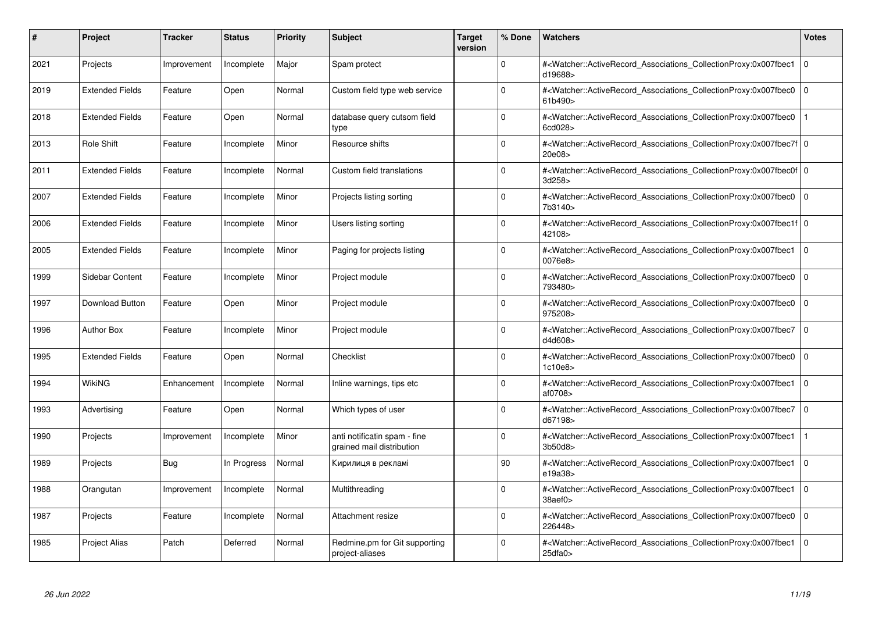| #    | Project                | <b>Tracker</b> | <b>Status</b> | <b>Priority</b> | <b>Subject</b>                                            | Target<br>version | % Done      | <b>Watchers</b>                                                                                                                                           | <b>Votes</b> |
|------|------------------------|----------------|---------------|-----------------|-----------------------------------------------------------|-------------------|-------------|-----------------------------------------------------------------------------------------------------------------------------------------------------------|--------------|
| 2021 | Projects               | Improvement    | Incomplete    | Major           | Spam protect                                              |                   | $\Omega$    | # <watcher::activerecord associations="" collectionproxy:0x007fbec1<br="">d19688&gt;</watcher::activerecord>                                              | $\mathbf 0$  |
| 2019 | <b>Extended Fields</b> | Feature        | Open          | Normal          | Custom field type web service                             |                   | $\Omega$    | # <watcher::activerecord associations="" collectionproxy:0x007fbec0<br="">61b490&gt;</watcher::activerecord>                                              | $\mathbf 0$  |
| 2018 | <b>Extended Fields</b> | Feature        | Open          | Normal          | database query cutsom field<br>type                       |                   | $\Omega$    | # <watcher::activerecord_associations_collectionproxy:0x007fbec0<br>6cd028&gt;</watcher::activerecord_associations_collectionproxy:0x007fbec0<br>         |              |
| 2013 | <b>Role Shift</b>      | Feature        | Incomplete    | Minor           | Resource shifts                                           |                   | $\Omega$    | # <watcher::activerecord 0<br="" associations="" collectionproxy:0x007fbec7f=""  ="">20e08</watcher::activerecord>                                        |              |
| 2011 | <b>Extended Fields</b> | Feature        | Incomplete    | Normal          | Custom field translations                                 |                   | $\Omega$    | # <watcher::activerecord_associations_collectionproxy:0x007fbec0f 0<br=""  ="">3d258&gt;</watcher::activerecord_associations_collectionproxy:0x007fbec0f> |              |
| 2007 | <b>Extended Fields</b> | Feature        | Incomplete    | Minor           | Projects listing sorting                                  |                   | $\Omega$    | # <watcher::activerecord_associations_collectionproxy:0x007fbec0<br>7b3140&gt;</watcher::activerecord_associations_collectionproxy:0x007fbec0<br>         | $\Omega$     |
| 2006 | <b>Extended Fields</b> | Feature        | Incomplete    | Minor           | Users listing sorting                                     |                   | $\Omega$    | # <watcher::activerecord 0<br="" associations="" collectionproxy:0x007fbec1f=""  ="">42108&gt;</watcher::activerecord>                                    |              |
| 2005 | <b>Extended Fields</b> | Feature        | Incomplete    | Minor           | Paging for projects listing                               |                   | $\Omega$    | # <watcher::activerecord_associations_collectionproxy:0x007fbec1<br>0076e8&gt;</watcher::activerecord_associations_collectionproxy:0x007fbec1<br>         | $\Omega$     |
| 1999 | Sidebar Content        | Feature        | Incomplete    | Minor           | Project module                                            |                   | $\Omega$    | # <watcher::activerecord associations="" collectionproxy:0x007fbec0<br="">793480&gt;</watcher::activerecord>                                              | $\mathbf 0$  |
| 1997 | Download Button        | Feature        | Open          | Minor           | Project module                                            |                   | $\mathbf 0$ | # <watcher::activerecord associations="" collectionproxy:0x007fbec0<br="">975208&gt;</watcher::activerecord>                                              | $\mathbf 0$  |
| 1996 | <b>Author Box</b>      | Feature        | Incomplete    | Minor           | Project module                                            |                   | $\Omega$    | # <watcher::activerecord_associations_collectionproxy:0x007fbec7 0<br=""  ="">d4d608&gt;</watcher::activerecord_associations_collectionproxy:0x007fbec7>  |              |
| 1995 | <b>Extended Fields</b> | Feature        | Open          | Normal          | Checklist                                                 |                   | $\Omega$    | # <watcher::activerecord associations="" collectionproxy:0x007fbec0<br="">1c10e8</watcher::activerecord>                                                  | $\mathbf 0$  |
| 1994 | <b>WikiNG</b>          | Enhancement    | Incomplete    | Normal          | Inline warnings, tips etc                                 |                   | $\Omega$    | # <watcher::activerecord associations="" collectionproxy:0x007fbec1<br="">af0708&gt;</watcher::activerecord>                                              | $\mathbf 0$  |
| 1993 | Advertising            | Feature        | Open          | Normal          | Which types of user                                       |                   | $\Omega$    | # <watcher::activerecord_associations_collectionproxy:0x007fbec7<br>d67198&gt;</watcher::activerecord_associations_collectionproxy:0x007fbec7<br>         | $\mathbf 0$  |
| 1990 | Projects               | Improvement    | Incomplete    | Minor           | anti notificatin spam - fine<br>grained mail distribution |                   | $\Omega$    | # <watcher::activerecord associations="" collectionproxy:0x007fbec1<br="">3b50d8&gt;</watcher::activerecord>                                              |              |
| 1989 | Projects               | Bug            | In Progress   | Normal          | Кирилиця в рекламі                                        |                   | 90          | # <watcher::activerecord_associations_collectionproxy:0x007fbec1<br>e19a38&gt;</watcher::activerecord_associations_collectionproxy:0x007fbec1<br>         | $\mathbf 0$  |
| 1988 | Orangutan              | Improvement    | Incomplete    | Normal          | Multithreading                                            |                   | $\Omega$    | # <watcher::activerecord associations="" collectionproxy:0x007fbec1=""  <br="">38aef0&gt;</watcher::activerecord>                                         | $\mathbf 0$  |
| 1987 | Projects               | Feature        | Incomplete    | Normal          | Attachment resize                                         |                   | $\Omega$    | # <watcher::activerecord associations="" collectionproxy:0x007fbec0<br="">226448&gt;</watcher::activerecord>                                              | $\mathbf 0$  |
| 1985 | <b>Project Alias</b>   | Patch          | Deferred      | Normal          | Redmine.pm for Git supporting<br>project-aliases          |                   | $\Omega$    | # <watcher::activerecord_associations_collectionproxy:0x007fbec1 0<br=""  ="">25dfa0</watcher::activerecord_associations_collectionproxy:0x007fbec1>      |              |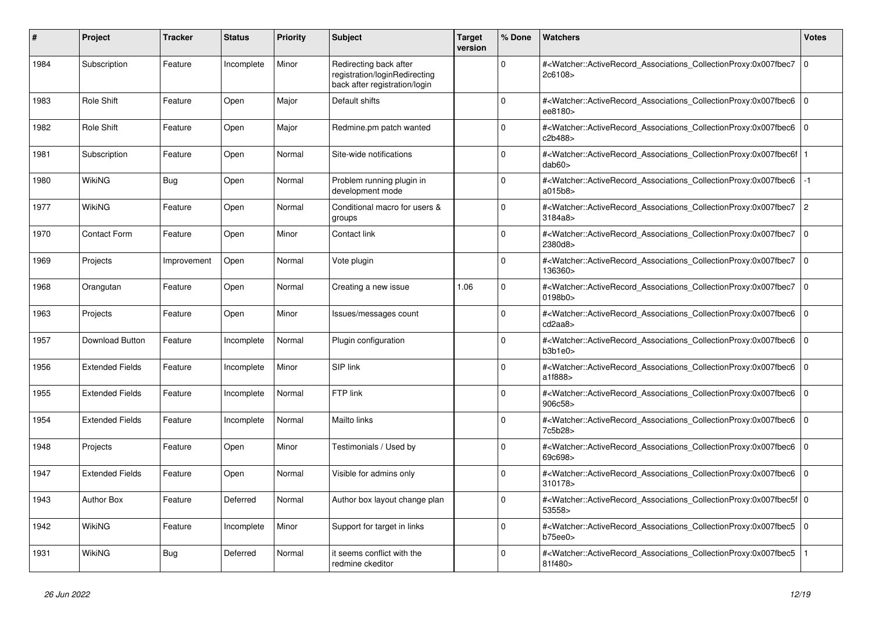| #    | Project                | <b>Tracker</b> | <b>Status</b> | Priority | <b>Subject</b>                                                                           | <b>Target</b><br>version | % Done   | <b>Watchers</b>                                                                                                                                           | <b>Votes</b>   |
|------|------------------------|----------------|---------------|----------|------------------------------------------------------------------------------------------|--------------------------|----------|-----------------------------------------------------------------------------------------------------------------------------------------------------------|----------------|
| 1984 | Subscription           | Feature        | Incomplete    | Minor    | Redirecting back after<br>registration/loginRedirecting<br>back after registration/login |                          | $\Omega$ | # <watcher::activerecord_associations_collectionproxy:0x007fbec7<br>2c6108&gt;</watcher::activerecord_associations_collectionproxy:0x007fbec7<br>         | 0              |
| 1983 | <b>Role Shift</b>      | Feature        | Open          | Major    | Default shifts                                                                           |                          | O        | # <watcher::activerecord associations="" collectionproxy:0x007fbec6<br="">ee8180&gt;</watcher::activerecord>                                              | $\overline{0}$ |
| 1982 | Role Shift             | Feature        | Open          | Major    | Redmine.pm patch wanted                                                                  |                          | $\Omega$ | # <watcher::activerecord associations="" collectionproxy:0x007fbec6<br="">c2b488&gt;</watcher::activerecord>                                              | $\overline{0}$ |
| 1981 | Subscription           | Feature        | Open          | Normal   | Site-wide notifications                                                                  |                          | $\Omega$ | # <watcher::activerecord_associations_collectionproxy:0x007fbec6f<br>dab60&gt;</watcher::activerecord_associations_collectionproxy:0x007fbec6f<br>        |                |
| 1980 | <b>WikiNG</b>          | Bug            | Open          | Normal   | Problem running plugin in<br>development mode                                            |                          | $\Omega$ | # <watcher::activerecord associations="" collectionproxy:0x007fbec6<br="">a015b8&gt;</watcher::activerecord>                                              | $-1$           |
| 1977 | WikiNG                 | Feature        | Open          | Normal   | Conditional macro for users &<br>groups                                                  |                          | $\Omega$ | # <watcher::activerecord associations="" collectionproxy:0x007fbec7<br="">3184a8</watcher::activerecord>                                                  | $\overline{2}$ |
| 1970 | <b>Contact Form</b>    | Feature        | Open          | Minor    | Contact link                                                                             |                          | $\Omega$ | # <watcher::activerecord_associations_collectionproxy:0x007fbec7<br>2380d8&gt;</watcher::activerecord_associations_collectionproxy:0x007fbec7<br>         | 0              |
| 1969 | Projects               | Improvement    | Open          | Normal   | Vote plugin                                                                              |                          | $\Omega$ | # <watcher::activerecord_associations_collectionproxy:0x007fbec7<br>136360&gt;</watcher::activerecord_associations_collectionproxy:0x007fbec7<br>         | $\overline{0}$ |
| 1968 | Orangutan              | Feature        | Open          | Normal   | Creating a new issue                                                                     | 1.06                     | $\Omega$ | # <watcher::activerecord_associations_collectionproxy:0x007fbec7<br>0198b0&gt;</watcher::activerecord_associations_collectionproxy:0x007fbec7<br>         | 0              |
| 1963 | Projects               | Feature        | Open          | Minor    | Issues/messages count                                                                    |                          | $\Omega$ | # <watcher::activerecord_associations_collectionproxy:0x007fbec6<br>cd2aa8&gt;</watcher::activerecord_associations_collectionproxy:0x007fbec6<br>         | $\mathbf 0$    |
| 1957 | Download Button        | Feature        | Incomplete    | Normal   | Plugin configuration                                                                     |                          | $\Omega$ | # <watcher::activerecord_associations_collectionproxy:0x007fbec6<br>b3b1e0</watcher::activerecord_associations_collectionproxy:0x007fbec6<br>             | $\overline{0}$ |
| 1956 | <b>Extended Fields</b> | Feature        | Incomplete    | Minor    | SIP link                                                                                 |                          | $\Omega$ | # <watcher::activerecord associations="" collectionproxy:0x007fbec6<br="">a1f888&gt;</watcher::activerecord>                                              | $\overline{0}$ |
| 1955 | <b>Extended Fields</b> | Feature        | Incomplete    | Normal   | FTP link                                                                                 |                          | 0        | # <watcher::activerecord associations="" collectionproxy:0x007fbec6<br="">906c58&gt;</watcher::activerecord>                                              | $\Omega$       |
| 1954 | <b>Extended Fields</b> | Feature        | Incomplete    | Normal   | Mailto links                                                                             |                          | $\Omega$ | # <watcher::activerecord_associations_collectionproxy:0x007fbec6<br>7c5b28&gt;</watcher::activerecord_associations_collectionproxy:0x007fbec6<br>         | 0              |
| 1948 | Projects               | Feature        | Open          | Minor    | Testimonials / Used by                                                                   |                          | $\Omega$ | # <watcher::activerecord associations="" collectionproxy:0x007fbec6<br="">69c698&gt;</watcher::activerecord>                                              | $\overline{0}$ |
| 1947 | <b>Extended Fields</b> | Feature        | Open          | Normal   | Visible for admins only                                                                  |                          | $\Omega$ | # <watcher::activerecord_associations_collectionproxy:0x007fbec6<br>310178&gt;</watcher::activerecord_associations_collectionproxy:0x007fbec6<br>         | $\Omega$       |
| 1943 | <b>Author Box</b>      | Feature        | Deferred      | Normal   | Author box layout change plan                                                            |                          | $\Omega$ | # <watcher::activerecord_associations_collectionproxy:0x007fbec5f 0<br=""  ="">53558&gt;</watcher::activerecord_associations_collectionproxy:0x007fbec5f> |                |
| 1942 | <b>WikiNG</b>          | Feature        | Incomplete    | Minor    | Support for target in links                                                              |                          | $\Omega$ | # <watcher::activerecord_associations_collectionproxy:0x007fbec5<br>b75ee0</watcher::activerecord_associations_collectionproxy:0x007fbec5<br>             | $\overline{0}$ |
| 1931 | WikiNG                 | Bug            | Deferred      | Normal   | it seems conflict with the<br>redmine ckeditor                                           |                          | $\Omega$ | # <watcher::activerecord_associations_collectionproxy:0x007fbec5<br>81f480&gt;</watcher::activerecord_associations_collectionproxy:0x007fbec5<br>         |                |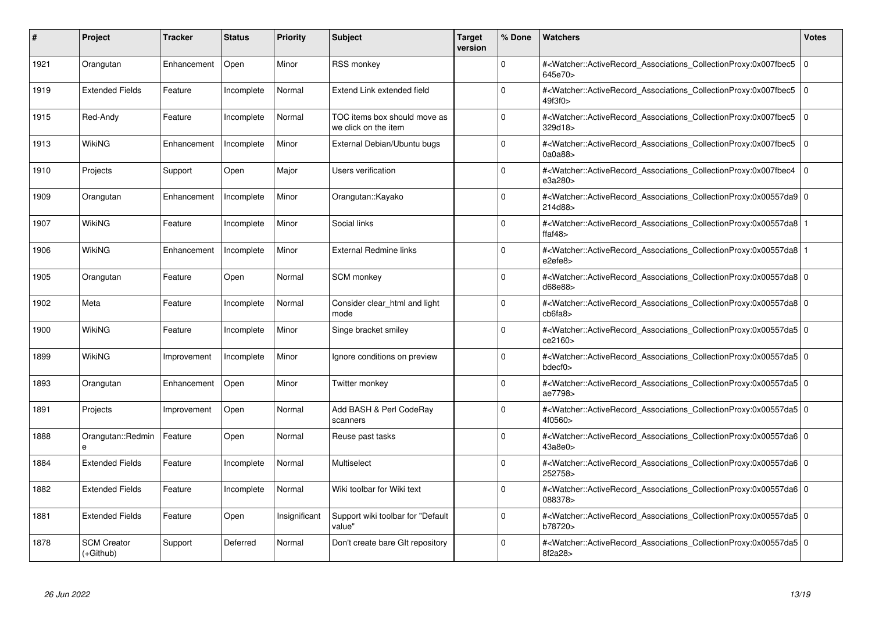| #    | Project                           | Tracker     | <b>Status</b> | <b>Priority</b> | <b>Subject</b>                                       | <b>Target</b><br>version | % Done   | <b>Watchers</b>                                                                                                                                          | <b>Votes</b> |
|------|-----------------------------------|-------------|---------------|-----------------|------------------------------------------------------|--------------------------|----------|----------------------------------------------------------------------------------------------------------------------------------------------------------|--------------|
| 1921 | Orangutan                         | Enhancement | Open          | Minor           | <b>RSS monkey</b>                                    |                          | $\Omega$ | # <watcher::activerecord associations="" collectionproxy:0x007fbec5<br="">645e70&gt;</watcher::activerecord>                                             | $\mathbf 0$  |
| 1919 | <b>Extended Fields</b>            | Feature     | Incomplete    | Normal          | Extend Link extended field                           |                          | $\Omega$ | # <watcher::activerecord associations="" collectionproxy:0x007fbec5<br="">49f3f0&gt;</watcher::activerecord>                                             | $\mathbf 0$  |
| 1915 | Red-Andy                          | Feature     | Incomplete    | Normal          | TOC items box should move as<br>we click on the item |                          | $\Omega$ | # <watcher::activerecord_associations_collectionproxy:0x007fbec5<br>329d18&gt;</watcher::activerecord_associations_collectionproxy:0x007fbec5<br>        | $\Omega$     |
| 1913 | WikiNG                            | Enhancement | Incomplete    | Minor           | External Debian/Ubuntu bugs                          |                          | $\Omega$ | # <watcher::activerecord_associations_collectionproxy:0x007fbec5 0<br="">0a0a88</watcher::activerecord_associations_collectionproxy:0x007fbec5>          |              |
| 1910 | Projects                          | Support     | Open          | Major           | Users verification                                   |                          | $\Omega$ | # <watcher::activerecord_associations_collectionproxy:0x007fbec4  <br="">e3a280&gt;</watcher::activerecord_associations_collectionproxy:0x007fbec4>      | $\mathbf 0$  |
| 1909 | Orangutan                         | Enhancement | Incomplete    | Minor           | Orangutan::Kayako                                    |                          | $\Omega$ | # <watcher::activerecord_associations_collectionproxy:0x00557da9 0<br="">214d88&gt;</watcher::activerecord_associations_collectionproxy:0x00557da9>      |              |
| 1907 | WikiNG                            | Feature     | Incomplete    | Minor           | Social links                                         |                          | $\Omega$ | # <watcher::activerecord associations="" collectionproxy:0x00557da8<br="">ffaf<math>48</math></watcher::activerecord>                                    |              |
| 1906 | WikiNG                            | Enhancement | Incomplete    | Minor           | <b>External Redmine links</b>                        |                          | $\Omega$ | # <watcher::activerecord_associations_collectionproxy:0x00557da8<br>e2efe8&gt;</watcher::activerecord_associations_collectionproxy:0x00557da8<br>        |              |
| 1905 | Orangutan                         | Feature     | Open          | Normal          | <b>SCM</b> monkey                                    |                          | $\Omega$ | # <watcher::activerecord 0<br="" associations="" collectionproxy:0x00557da8="">d68e88&gt;</watcher::activerecord>                                        |              |
| 1902 | Meta                              | Feature     | Incomplete    | Normal          | Consider clear html and light<br>mode                |                          | $\Omega$ | # <watcher::activerecord 0<br="" associations="" collectionproxy:0x00557da8=""  ="">cb6fa8</watcher::activerecord>                                       |              |
| 1900 | <b>WikiNG</b>                     | Feature     | Incomplete    | Minor           | Singe bracket smiley                                 |                          | $\Omega$ | # <watcher::activerecord_associations_collectionproxy:0x00557da5 0<br=""  ="">ce2160&gt;</watcher::activerecord_associations_collectionproxy:0x00557da5> |              |
| 1899 | WikiNG                            | Improvement | Incomplete    | Minor           | Ignore conditions on preview                         |                          | $\Omega$ | # <watcher::activerecord 0<br="" associations="" collectionproxy:0x00557da5=""  ="">bdecf0</watcher::activerecord>                                       |              |
| 1893 | Orangutan                         | Enhancement | Open          | Minor           | Twitter monkey                                       |                          | $\Omega$ | # <watcher::activerecord 0<br="" associations="" collectionproxy:0x00557da5=""  ="">ae7798&gt;</watcher::activerecord>                                   |              |
| 1891 | Projects                          | Improvement | Open          | Normal          | Add BASH & Perl CodeRay<br>scanners                  |                          | $\Omega$ | # <watcher::activerecord_associations_collectionproxy:0x00557da5 0<br=""  ="">4f0560&gt;</watcher::activerecord_associations_collectionproxy:0x00557da5> |              |
| 1888 | Orangutan::Redmin                 | Feature     | Open          | Normal          | Reuse past tasks                                     |                          | $\Omega$ | # <watcher::activerecord 0<br="" associations="" collectionproxy:0x00557da6=""  ="">43a8e0&gt;</watcher::activerecord>                                   |              |
| 1884 | <b>Extended Fields</b>            | Feature     | Incomplete    | Normal          | Multiselect                                          |                          | $\Omega$ | # <watcher::activerecord_associations_collectionproxy:0x00557da6 0<br=""  ="">252758&gt;</watcher::activerecord_associations_collectionproxy:0x00557da6> |              |
| 1882 | <b>Extended Fields</b>            | Feature     | Incomplete    | Normal          | Wiki toolbar for Wiki text                           |                          | $\Omega$ | # <watcher::activerecord_associations_collectionproxy:0x00557da6 0<br=""  ="">088378&gt;</watcher::activerecord_associations_collectionproxy:0x00557da6> |              |
| 1881 | <b>Extended Fields</b>            | Feature     | Open          | Insignificant   | Support wiki toolbar for "Default<br>value"          |                          | $\Omega$ | # <watcher::activerecord 0<br="" associations="" collectionproxy:0x00557da5=""  ="">b78720&gt;</watcher::activerecord>                                   |              |
| 1878 | <b>SCM Creator</b><br>$(+Github)$ | Support     | Deferred      | Normal          | Don't create bare GIt repository                     |                          | $\Omega$ | # <watcher::activerecord_associations_collectionproxy:0x00557da5 0<br="">8f2a28&gt;</watcher::activerecord_associations_collectionproxy:0x00557da5>      |              |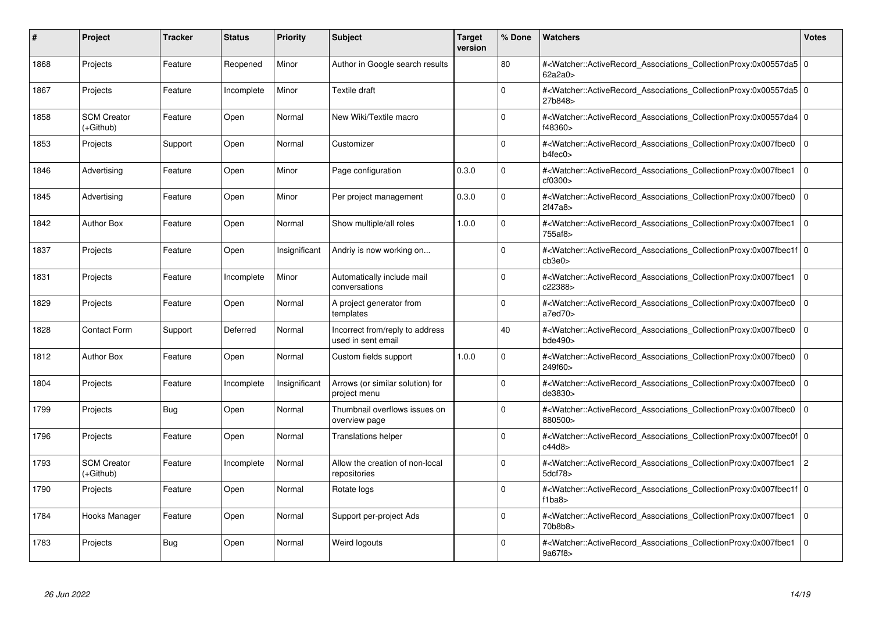| #    | Project                           | <b>Tracker</b> | <b>Status</b> | <b>Priority</b> | <b>Subject</b>                                        | <b>Target</b><br>version | % Done   | <b>Watchers</b>                                                                                                                                          | <b>Votes</b>   |
|------|-----------------------------------|----------------|---------------|-----------------|-------------------------------------------------------|--------------------------|----------|----------------------------------------------------------------------------------------------------------------------------------------------------------|----------------|
| 1868 | Projects                          | Feature        | Reopened      | Minor           | Author in Google search results                       |                          | 80       | # <watcher::activerecord 0<br="" associations="" collectionproxy:0x00557da5=""  ="">62a2a0&gt;</watcher::activerecord>                                   |                |
| 1867 | Projects                          | Feature        | Incomplete    | Minor           | Textile draft                                         |                          | $\Omega$ | # <watcher::activerecord_associations_collectionproxy:0x00557da5 0<br=""  ="">27b848&gt;</watcher::activerecord_associations_collectionproxy:0x00557da5> |                |
| 1858 | <b>SCM Creator</b><br>(+Github)   | Feature        | Open          | Normal          | New Wiki/Textile macro                                |                          | $\Omega$ | # <watcher::activerecord 0<br="" associations="" collectionproxy:0x00557da4=""  ="">f48360&gt;</watcher::activerecord>                                   |                |
| 1853 | Projects                          | Support        | Open          | Normal          | Customizer                                            |                          | $\Omega$ | # <watcher::activerecord 0<br="" associations="" collectionproxy:0x007fbec0=""  ="">b4fec0</watcher::activerecord>                                       |                |
| 1846 | Advertising                       | Feature        | Open          | Minor           | Page configuration                                    | 0.3.0                    | $\Omega$ | # <watcher::activerecord_associations_collectionproxy:0x007fbec1<br>cf0300&gt;</watcher::activerecord_associations_collectionproxy:0x007fbec1<br>        | l o            |
| 1845 | Advertising                       | Feature        | Open          | Minor           | Per project management                                | 0.3.0                    | $\Omega$ | # <watcher::activerecord associations="" collectionproxy:0x007fbec0<br="">2f47a8</watcher::activerecord>                                                 | $\Omega$       |
| 1842 | <b>Author Box</b>                 | Feature        | Open          | Normal          | Show multiple/all roles                               | 1.0.0                    | $\Omega$ | # <watcher::activerecord_associations_collectionproxy:0x007fbec1<br>755af8&gt;</watcher::activerecord_associations_collectionproxy:0x007fbec1<br>        | l O            |
| 1837 | Projects                          | Feature        | Open          | Insignificant   | Andriy is now working on                              |                          | $\Omega$ | # <watcher::activerecord 0<br="" associations="" collectionproxy:0x007fbec1f=""  ="">cb3e0<sub>&gt;</sub></watcher::activerecord>                        |                |
| 1831 | Projects                          | Feature        | Incomplete    | Minor           | Automatically include mail<br>conversations           |                          | $\Omega$ | # <watcher::activerecord_associations_collectionproxy:0x007fbec1<br>c22388&gt;</watcher::activerecord_associations_collectionproxy:0x007fbec1<br>        | l o            |
| 1829 | Projects                          | Feature        | Open          | Normal          | A project generator from<br>templates                 |                          | $\Omega$ | # <watcher::activerecord_associations_collectionproxy:0x007fbec0<br>a7ed70&gt;</watcher::activerecord_associations_collectionproxy:0x007fbec0<br>        | $\Omega$       |
| 1828 | <b>Contact Form</b>               | Support        | Deferred      | Normal          | Incorrect from/reply to address<br>used in sent email |                          | 40       | # <watcher::activerecord associations="" collectionproxy:0x007fbec0<br="">bde490&gt;</watcher::activerecord>                                             | $\mathbf 0$    |
| 1812 | <b>Author Box</b>                 | Feature        | Open          | Normal          | Custom fields support                                 | 1.0.0                    | $\Omega$ | # <watcher::activerecord associations="" collectionproxy:0x007fbec0<br="">249f60&gt;</watcher::activerecord>                                             | $\Omega$       |
| 1804 | Projects                          | Feature        | Incomplete    | Insignificant   | Arrows (or similar solution) for<br>project menu      |                          | $\Omega$ | # <watcher::activerecord associations="" collectionproxy:0x007fbec0<br="">de3830&gt;</watcher::activerecord>                                             | $\mathbf 0$    |
| 1799 | Projects                          | <b>Bug</b>     | Open          | Normal          | Thumbnail overflows issues on<br>overview page        |                          | $\Omega$ | # <watcher::activerecord_associations_collectionproxy:0x007fbec0<br>880500&gt;</watcher::activerecord_associations_collectionproxy:0x007fbec0<br>        | $\mathbf 0$    |
| 1796 | Projects                          | Feature        | Open          | Normal          | <b>Translations helper</b>                            |                          | $\Omega$ | # <watcher::activerecord_associations_collectionproxy:0x007fbec0f 0<br=""  ="">c44d8</watcher::activerecord_associations_collectionproxy:0x007fbec0f>    |                |
| 1793 | <b>SCM Creator</b><br>$(+Github)$ | Feature        | Incomplete    | Normal          | Allow the creation of non-local<br>repositories       |                          | $\Omega$ | # <watcher::activerecord associations="" collectionproxy:0x007fbec1<br="">5dcf78&gt;</watcher::activerecord>                                             | $\overline{c}$ |
| 1790 | Projects                          | Feature        | Open          | Normal          | Rotate logs                                           |                          | $\Omega$ | # <watcher::activerecord 0<br="" associations="" collectionproxy:0x007fbec1f=""  ="">f1ba<math>8</math></watcher::activerecord>                          |                |
| 1784 | Hooks Manager                     | Feature        | Open          | Normal          | Support per-project Ads                               |                          | $\Omega$ | # <watcher::activerecord associations="" collectionproxy:0x007fbec1<br="">70b8b8&gt;</watcher::activerecord>                                             | $\mathbf{0}$   |
| 1783 | Projects                          | <b>Bug</b>     | Open          | Normal          | Weird logouts                                         |                          | $\Omega$ | # <watcher::activerecord associations="" collectionproxy:0x007fbec1<br="">9a67f8&gt;</watcher::activerecord>                                             | $\Omega$       |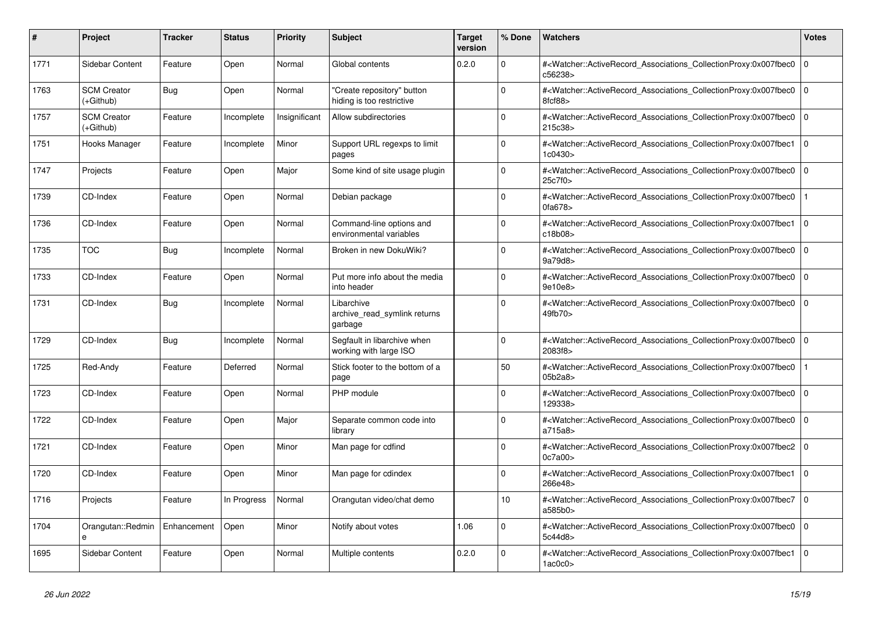| #    | <b>Project</b>                    | Tracker     | <b>Status</b> | <b>Priority</b> | <b>Subject</b>                                          | <b>Target</b><br>version | % Done   | <b>Watchers</b>                                                                                                                                      | <b>Votes</b> |
|------|-----------------------------------|-------------|---------------|-----------------|---------------------------------------------------------|--------------------------|----------|------------------------------------------------------------------------------------------------------------------------------------------------------|--------------|
| 1771 | Sidebar Content                   | Feature     | Open          | Normal          | Global contents                                         | 0.2.0                    | $\Omega$ | # <watcher::activerecord_associations_collectionproxy:0x007fbec0<br>c56238&gt;</watcher::activerecord_associations_collectionproxy:0x007fbec0<br>    | $\mathbf 0$  |
| 1763 | <b>SCM Creator</b><br>$(+Github)$ | Bug         | Open          | Normal          | 'Create repository" button<br>hiding is too restrictive |                          | $\Omega$ | # <watcher::activerecord associations="" collectionproxy:0x007fbec0<br="">8fcf88&gt;</watcher::activerecord>                                         | $\Omega$     |
| 1757 | <b>SCM Creator</b><br>(+Github)   | Feature     | Incomplete    | Insignificant   | Allow subdirectories                                    |                          | $\Omega$ | # <watcher::activerecord_associations_collectionproxy:0x007fbec0 0<br="">215c38&gt;</watcher::activerecord_associations_collectionproxy:0x007fbec0>  |              |
| 1751 | Hooks Manager                     | Feature     | Incomplete    | Minor           | Support URL regexps to limit<br>pages                   |                          | $\Omega$ | # <watcher::activerecord_associations_collectionproxy:0x007fbec1<br>1c0430&gt;</watcher::activerecord_associations_collectionproxy:0x007fbec1<br>    | $\Omega$     |
| 1747 | Projects                          | Feature     | Open          | Major           | Some kind of site usage plugin                          |                          | $\Omega$ | # <watcher::activerecord associations="" collectionproxy:0x007fbec0<br="">25c7f0&gt;</watcher::activerecord>                                         | $\Omega$     |
| 1739 | CD-Index                          | Feature     | Open          | Normal          | Debian package                                          |                          | $\Omega$ | # <watcher::activerecord_associations_collectionproxy:0x007fbec0<br>0fa678</watcher::activerecord_associations_collectionproxy:0x007fbec0<br>        |              |
| 1736 | CD-Index                          | Feature     | Open          | Normal          | Command-line options and<br>environmental variables     |                          | $\Omega$ | # <watcher::activerecord_associations_collectionproxy:0x007fbec1<br>c18b08&gt;</watcher::activerecord_associations_collectionproxy:0x007fbec1<br>    | $\Omega$     |
| 1735 | <b>TOC</b>                        | Bug         | Incomplete    | Normal          | Broken in new DokuWiki?                                 |                          | $\Omega$ | # <watcher::activerecord associations="" collectionproxy:0x007fbec0<br="">9a79d8&gt;</watcher::activerecord>                                         | $\mathbf{0}$ |
| 1733 | CD-Index                          | Feature     | Open          | Normal          | Put more info about the media<br>into header            |                          | $\Omega$ | # <watcher::activerecord_associations_collectionproxy:0x007fbec0 0<br="">9e10e8&gt;</watcher::activerecord_associations_collectionproxy:0x007fbec0>  |              |
| 1731 | CD-Index                          | <b>Bug</b>  | Incomplete    | Normal          | Libarchive<br>archive_read_symlink returns<br>garbage   |                          | $\Omega$ | # <watcher::activerecord_associations_collectionproxy:0x007fbec0<br>49fb70&gt;</watcher::activerecord_associations_collectionproxy:0x007fbec0<br>    | $\mathbf 0$  |
| 1729 | CD-Index                          | Bug         | Incomplete    | Normal          | Segfault in libarchive when<br>working with large ISO   |                          | $\Omega$ | # <watcher::activerecord_associations_collectionproxy:0x007fbec0  <br="">2083f8&gt;</watcher::activerecord_associations_collectionproxy:0x007fbec0>  | $\mathbf 0$  |
| 1725 | Red-Andy                          | Feature     | Deferred      | Normal          | Stick footer to the bottom of a<br>page                 |                          | 50       | # <watcher::activerecord associations="" collectionproxy:0x007fbec0<br="">05b2a8&gt;</watcher::activerecord>                                         |              |
| 1723 | CD-Index                          | Feature     | Open          | Normal          | PHP module                                              |                          | $\Omega$ | # <watcher::activerecord_associations_collectionproxy:0x007fbec0<br>129338&gt;</watcher::activerecord_associations_collectionproxy:0x007fbec0<br>    | $\mathbf 0$  |
| 1722 | CD-Index                          | Feature     | Open          | Major           | Separate common code into<br>library                    |                          | $\Omega$ | # <watcher::activerecord_associations_collectionproxy:0x007fbec0  <br="">a715a8&gt;</watcher::activerecord_associations_collectionproxy:0x007fbec0>  | $\Omega$     |
| 1721 | CD-Index                          | Feature     | Open          | Minor           | Man page for cdfind                                     |                          | $\Omega$ | # <watcher::activerecord 0<br="" associations="" collectionproxy:0x007fbec2=""  ="">0c7a00&gt;</watcher::activerecord>                               |              |
| 1720 | CD-Index                          | Feature     | Open          | Minor           | Man page for cdindex                                    |                          | $\Omega$ | # <watcher::activerecord associations="" collectionproxy:0x007fbec1<br="">266e48&gt;</watcher::activerecord>                                         | $\mathbf{0}$ |
| 1716 | Projects                          | Feature     | In Progress   | Normal          | Orangutan video/chat demo                               |                          | 10       | # <watcher::activerecord_associations_collectionproxy:0x007fbec7 0<br=""  ="">a585b0</watcher::activerecord_associations_collectionproxy:0x007fbec7> |              |
| 1704 | Orangutan::Redmin<br>e            | Enhancement | Open          | Minor           | Notify about votes                                      | 1.06                     | $\Omega$ | # <watcher::activerecord_associations_collectionproxy:0x007fbec0  <br="">5c44d8&gt;</watcher::activerecord_associations_collectionproxy:0x007fbec0>  | $\mathbf 0$  |
| 1695 | Sidebar Content                   | Feature     | Open          | Normal          | Multiple contents                                       | 0.2.0                    | $\Omega$ | # <watcher::activerecord associations="" collectionproxy:0x007fbec1<br="">1a<sub>0</sub>c<sub>0</sub></watcher::activerecord>                        | $\Omega$     |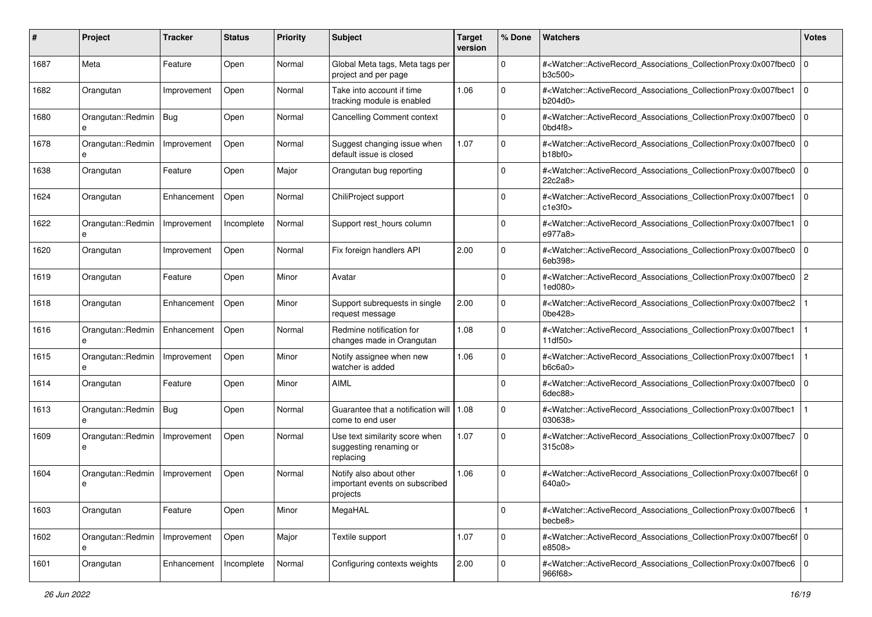| #    | Project                | Tracker     | <b>Status</b> | <b>Priority</b> | <b>Subject</b>                                                        | <b>Target</b><br>version | % Done       | Watchers                                                                                                                                                                    | <b>Votes</b>   |
|------|------------------------|-------------|---------------|-----------------|-----------------------------------------------------------------------|--------------------------|--------------|-----------------------------------------------------------------------------------------------------------------------------------------------------------------------------|----------------|
| 1687 | Meta                   | Feature     | Open          | Normal          | Global Meta tags, Meta tags per<br>project and per page               |                          | $\mathbf 0$  | # <watcher::activerecord_associations_collectionproxy:0x007fbec0<br>b3c500&gt;</watcher::activerecord_associations_collectionproxy:0x007fbec0<br>                           | $\mathbf 0$    |
| 1682 | Orangutan              | Improvement | Open          | Normal          | Take into account if time<br>tracking module is enabled               | 1.06                     | $\Omega$     | # <watcher::activerecord_associations_collectionproxy:0x007fbec1<br>b204d0&gt;</watcher::activerecord_associations_collectionproxy:0x007fbec1<br>                           | $\Omega$       |
| 1680 | Orangutan::Redmin<br>e | Bug         | Open          | Normal          | <b>Cancelling Comment context</b>                                     |                          | $\Omega$     | # <watcher::activerecord_associations_collectionproxy:0x007fbec0<br><math>0</math>bd4f8<math>&gt;</math></watcher::activerecord_associations_collectionproxy:0x007fbec0<br> | $\mathbf 0$    |
| 1678 | Orangutan::Redmin<br>e | Improvement | Open          | Normal          | Suggest changing issue when<br>default issue is closed                | 1.07                     | $\mathbf 0$  | # <watcher::activerecord_associations_collectionproxy:0x007fbec0<br>b18b10</watcher::activerecord_associations_collectionproxy:0x007fbec0<br>                               | l 0            |
| 1638 | Orangutan              | Feature     | Open          | Major           | Orangutan bug reporting                                               |                          | $\Omega$     | # <watcher::activerecord_associations_collectionproxy:0x007fbec0<br>22c2a8&gt;</watcher::activerecord_associations_collectionproxy:0x007fbec0<br>                           | l 0            |
| 1624 | Orangutan              | Enhancement | Open          | Normal          | ChiliProject support                                                  |                          | $\Omega$     | # <watcher::activerecord_associations_collectionproxy:0x007fbec1<br>c1e3f0</watcher::activerecord_associations_collectionproxy:0x007fbec1<br>                               | l 0            |
| 1622 | Orangutan::Redmin      | Improvement | Incomplete    | Normal          | Support rest_hours column                                             |                          | $\mathbf 0$  | # <watcher::activerecord_associations_collectionproxy:0x007fbec1<br>e977a8&gt;</watcher::activerecord_associations_collectionproxy:0x007fbec1<br>                           | l 0            |
| 1620 | Orangutan              | Improvement | Open          | Normal          | Fix foreign handlers API                                              | 2.00                     | $\mathbf 0$  | # <watcher::activerecord_associations_collectionproxy:0x007fbec0<br>6eb398&gt;</watcher::activerecord_associations_collectionproxy:0x007fbec0<br>                           | $\overline{0}$ |
| 1619 | Orangutan              | Feature     | Open          | Minor           | Avatar                                                                |                          | $\mathbf 0$  | # <watcher::activerecord_associations_collectionproxy:0x007fbec0<br>1ed080&gt;</watcher::activerecord_associations_collectionproxy:0x007fbec0<br>                           | $\overline{c}$ |
| 1618 | Orangutan              | Enhancement | Open          | Minor           | Support subrequests in single<br>request message                      | 2.00                     | $\mathbf 0$  | # <watcher::activerecord_associations_collectionproxy:0x007fbec2<br>0be428&gt;</watcher::activerecord_associations_collectionproxy:0x007fbec2<br>                           |                |
| 1616 | Orangutan::Redmin<br>e | Enhancement | Open          | Normal          | Redmine notification for<br>changes made in Orangutan                 | 1.08                     | $\Omega$     | # <watcher::activerecord_associations_collectionproxy:0x007fbec1<br>11df50&gt;</watcher::activerecord_associations_collectionproxy:0x007fbec1<br>                           |                |
| 1615 | Orangutan::Redmin<br>e | Improvement | Open          | Minor           | Notify assignee when new<br>watcher is added                          | 1.06                     | $\mathbf 0$  | # <watcher::activerecord_associations_collectionproxy:0x007fbec1<br>b6c6a0</watcher::activerecord_associations_collectionproxy:0x007fbec1<br>                               |                |
| 1614 | Orangutan              | Feature     | Open          | Minor           | <b>AIML</b>                                                           |                          | $\Omega$     | # <watcher::activerecord_associations_collectionproxy:0x007fbec0<br>6dec88&gt;</watcher::activerecord_associations_collectionproxy:0x007fbec0<br>                           | $\Omega$       |
| 1613 | Orangutan::Redmin      | Bug         | Open          | Normal          | Guarantee that a notification will   1.08<br>come to end user         |                          | $\mathbf 0$  | # <watcher::activerecord_associations_collectionproxy:0x007fbec1<br>030638&gt;</watcher::activerecord_associations_collectionproxy:0x007fbec1<br>                           |                |
| 1609 | Orangutan::Redmin<br>e | Improvement | Open          | Normal          | Use text similarity score when<br>suggesting renaming or<br>replacing | 1.07                     | $\mathbf 0$  | # <watcher::activerecord_associations_collectionproxy:0x007fbec7<br>315c08&gt;</watcher::activerecord_associations_collectionproxy:0x007fbec7<br>                           | $\overline{0}$ |
| 1604 | Orangutan::Redmin<br>e | Improvement | Open          | Normal          | Notify also about other<br>important events on subscribed<br>projects | 1.06                     | $\Omega$     | # <watcher::activerecord_associations_collectionproxy:0x007fbec6f 0<br="">640a0&gt;</watcher::activerecord_associations_collectionproxy:0x007fbec6f>                        |                |
| 1603 | Orangutan              | Feature     | Open          | Minor           | MegaHAL                                                               |                          | 0            | # <watcher::activerecord associations="" collectionproxy:0x007fbec6<br="">becbe8&gt;</watcher::activerecord>                                                                |                |
| 1602 | Orangutan::Redmin<br>e | Improvement | Open          | Major           | Textile support                                                       | 1.07                     | $\mathsf{O}$ | # <watcher::activerecord 0<br="" associations="" collectionproxy:0x007fbec6f="">e8508&gt;</watcher::activerecord>                                                           |                |
| 1601 | Orangutan              | Enhancement | Incomplete    | Normal          | Configuring contexts weights                                          | 2.00                     | $\mathsf 0$  | # <watcher::activerecord 0<br="" associations="" collectionproxy:0x007fbec6="">966f68&gt;</watcher::activerecord>                                                           |                |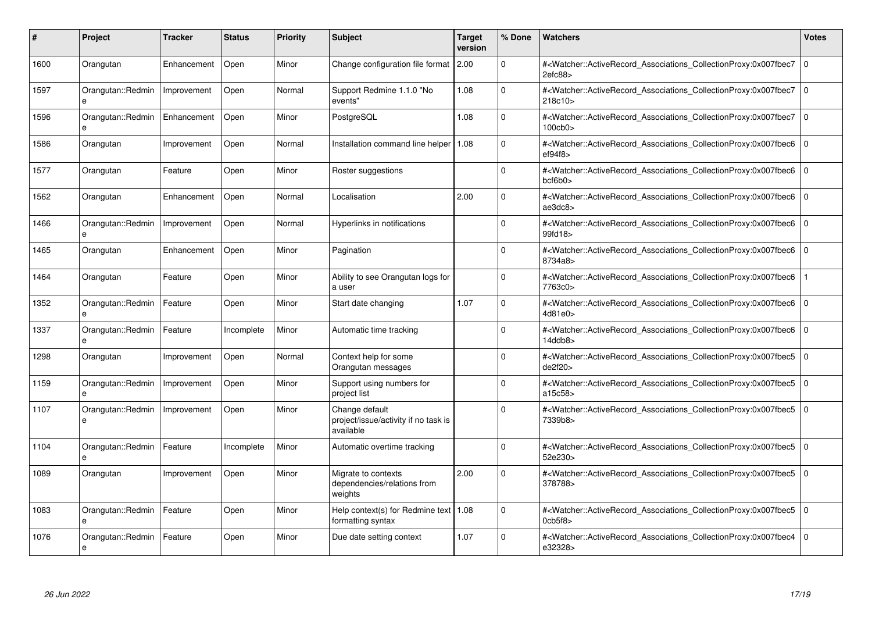| #    | Project                           | <b>Tracker</b> | <b>Status</b> | <b>Priority</b> | <b>Subject</b>                                                      | <b>Target</b><br>version | % Done      | <b>Watchers</b>                                                                                                                                      | <b>Votes</b>   |
|------|-----------------------------------|----------------|---------------|-----------------|---------------------------------------------------------------------|--------------------------|-------------|------------------------------------------------------------------------------------------------------------------------------------------------------|----------------|
| 1600 | Orangutan                         | Enhancement    | Open          | Minor           | Change configuration file format 2.00                               |                          | $\Omega$    | # <watcher::activerecord_associations_collectionproxy:0x007fbec7<br>2efc88</watcher::activerecord_associations_collectionproxy:0x007fbec7<br>        | $\overline{0}$ |
| 1597 | Orangutan::Redmin<br>e            | Improvement    | Open          | Normal          | Support Redmine 1.1.0 "No<br>events"                                | 1.08                     | $\Omega$    | # <watcher::activerecord associations="" collectionproxy:0x007fbec7<br="">218c10&gt;</watcher::activerecord>                                         | $\overline{0}$ |
| 1596 | Orangutan::Redmin<br>e            | Enhancement    | Open          | Minor           | PostgreSQL                                                          | 1.08                     | $\mathbf 0$ | # <watcher::activerecord associations="" collectionproxy:0x007fbec7<br="">100cb0&gt;</watcher::activerecord>                                         | $\overline{0}$ |
| 1586 | Orangutan                         | Improvement    | Open          | Normal          | Installation command line helper                                    | 1.08                     | $\Omega$    | # <watcher::activerecord_associations_collectionproxy:0x007fbec6 0<br="">ef94f8</watcher::activerecord_associations_collectionproxy:0x007fbec6>      |                |
| 1577 | Orangutan                         | Feature        | Open          | Minor           | Roster suggestions                                                  |                          | $\Omega$    | # <watcher::activerecord_associations_collectionproxy:0x007fbec6 0<br="">bcfb0</watcher::activerecord_associations_collectionproxy:0x007fbec6>       |                |
| 1562 | Orangutan                         | Enhancement    | Open          | Normal          | Localisation                                                        | 2.00                     | $\Omega$    | # <watcher::activerecord_associations_collectionproxy:0x007fbec6 0<br=""  ="">ae3dc8</watcher::activerecord_associations_collectionproxy:0x007fbec6> |                |
| 1466 | Orangutan::Redmin<br>e            | Improvement    | Open          | Normal          | Hyperlinks in notifications                                         |                          | $\mathbf 0$ | # <watcher::activerecord_associations_collectionproxy:0x007fbec6 0<br="">99fd18&gt;</watcher::activerecord_associations_collectionproxy:0x007fbec6>  |                |
| 1465 | Orangutan                         | Enhancement    | Open          | Minor           | Pagination                                                          |                          | $\Omega$    | # <watcher::activerecord associations="" collectionproxy:0x007fbec6<br="">8734a8&gt;</watcher::activerecord>                                         | l 0            |
| 1464 | Orangutan                         | Feature        | Open          | Minor           | Ability to see Orangutan logs for<br>a user                         |                          | $\Omega$    | # <watcher::activerecord associations="" collectionproxy:0x007fbec6<br="">7763c0&gt;</watcher::activerecord>                                         |                |
| 1352 | Orangutan::Redmin                 | Feature        | Open          | Minor           | Start date changing                                                 | 1.07                     | $\Omega$    | # <watcher::activerecord_associations_collectionproxy:0x007fbec6<br>4d81e0&gt;</watcher::activerecord_associations_collectionproxy:0x007fbec6<br>    | $\overline{0}$ |
| 1337 | Orangutan::Redmin<br>$\mathbf{a}$ | Feature        | Incomplete    | Minor           | Automatic time tracking                                             |                          | $\Omega$    | # <watcher::activerecord_associations_collectionproxy:0x007fbec6 0<br="">14ddb8&gt;</watcher::activerecord_associations_collectionproxy:0x007fbec6>  |                |
| 1298 | Orangutan                         | Improvement    | Open          | Normal          | Context help for some<br>Orangutan messages                         |                          | $\Omega$    | # <watcher::activerecord associations="" collectionproxy:0x007fbec5<br="">de2f20</watcher::activerecord>                                             | $\overline{0}$ |
| 1159 | Orangutan::Redmin<br>e            | Improvement    | Open          | Minor           | Support using numbers for<br>project list                           |                          | $\Omega$    | # <watcher::activerecord associations="" collectionproxy:0x007fbec5<br="">a15c58&gt;</watcher::activerecord>                                         | l 0            |
| 1107 | Orangutan::Redmin<br>e            | Improvement    | Open          | Minor           | Change default<br>project/issue/activity if no task is<br>available |                          | $\Omega$    | # <watcher::activerecord associations="" collectionproxy:0x007fbec5<br="">7339b8&gt;</watcher::activerecord>                                         | $\Omega$       |
| 1104 | Orangutan::Redmin                 | Feature        | Incomplete    | Minor           | Automatic overtime tracking                                         |                          | $\Omega$    | # <watcher::activerecord_associations_collectionproxy:0x007fbec5<br>52e230&gt;</watcher::activerecord_associations_collectionproxy:0x007fbec5<br>    | l o            |
| 1089 | Orangutan                         | Improvement    | Open          | Minor           | Migrate to contexts<br>dependencies/relations from<br>weights       | 2.00                     | $\Omega$    | # <watcher::activerecord_associations_collectionproxy:0x007fbec5<br>378788&gt;</watcher::activerecord_associations_collectionproxy:0x007fbec5<br>    | $\Omega$       |
| 1083 | Orangutan::Redmin<br>e            | Feature        | Open          | Minor           | Help context(s) for Redmine text   $1.08$<br>formatting syntax      |                          | $\Omega$    | # <watcher::activerecord 0<br="" associations="" collectionproxy:0x007fbec5=""  ="">Ocb5f8&gt;</watcher::activerecord>                               |                |
| 1076 | Orangutan::Redmin<br>e            | Feature        | Open          | Minor           | Due date setting context                                            | 1.07                     | $\Omega$    | # <watcher::activerecord associations="" collectionproxy:0x007fbec4<br="">e32328&gt;</watcher::activerecord>                                         | $\Omega$       |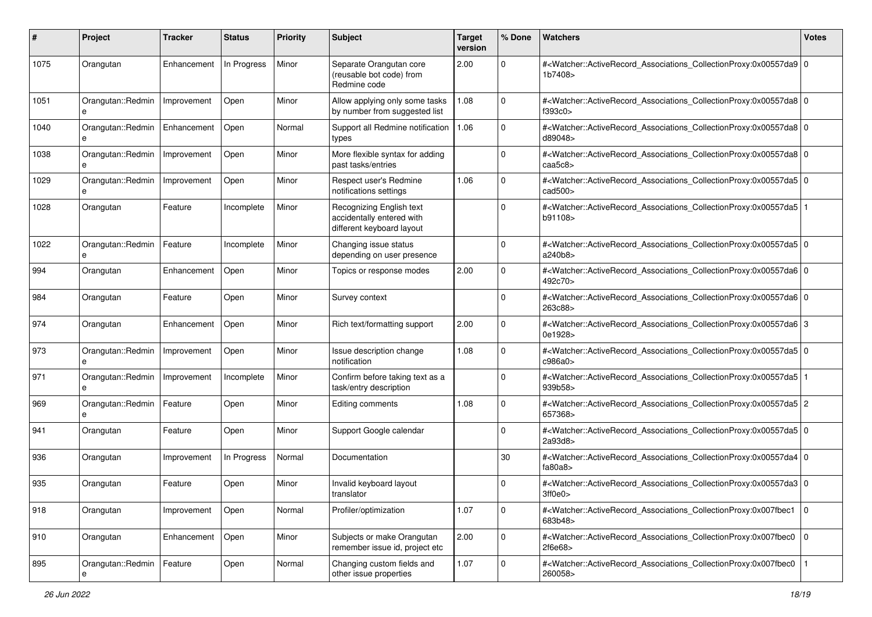| #    | Project                | <b>Tracker</b> | <b>Status</b> | <b>Priority</b> | Subject                                                                            | <b>Target</b><br>version | % Done       | Watchers                                                                                                                                                     | <b>Votes</b> |
|------|------------------------|----------------|---------------|-----------------|------------------------------------------------------------------------------------|--------------------------|--------------|--------------------------------------------------------------------------------------------------------------------------------------------------------------|--------------|
| 1075 | Orangutan              | Enhancement    | In Progress   | Minor           | Separate Orangutan core<br>(reusable bot code) from<br>Redmine code                | 2.00                     | 0            | # <watcher::activerecord_associations_collectionproxy:0x00557da9 0<br="">1b7408&gt;</watcher::activerecord_associations_collectionproxy:0x00557da9>          |              |
| 1051 | Orangutan::Redmin<br>e | Improvement    | Open          | Minor           | Allow applying only some tasks<br>by number from suggested list                    | 1.08                     | $\mathbf 0$  | # <watcher::activerecord_associations_collectionproxy:0x00557da8 0<br="">f393c0&gt;</watcher::activerecord_associations_collectionproxy:0x00557da8>          |              |
| 1040 | Orangutan::Redmin<br>e | Enhancement    | Open          | Normal          | Support all Redmine notification<br>types                                          | 1.06                     | $\Omega$     | # <watcher::activerecord_associations_collectionproxy:0x00557da8 0<br="">d89048&gt;</watcher::activerecord_associations_collectionproxy:0x00557da8>          |              |
| 1038 | Orangutan::Redmin<br>e | Improvement    | Open          | Minor           | More flexible syntax for adding<br>past tasks/entries                              |                          | $\Omega$     | # <watcher::activerecord_associations_collectionproxy:0x00557da8 0<br="">caa5c8</watcher::activerecord_associations_collectionproxy:0x00557da8>              |              |
| 1029 | Orangutan::Redmin<br>e | Improvement    | Open          | Minor           | Respect user's Redmine<br>notifications settings                                   | 1.06                     | 0            | # <watcher::activerecord_associations_collectionproxy:0x00557da5 0<br="">cad<math>500</math></watcher::activerecord_associations_collectionproxy:0x00557da5> |              |
| 1028 | Orangutan              | Feature        | Incomplete    | Minor           | Recognizing English text<br>accidentally entered with<br>different keyboard layout |                          | $\Omega$     | # <watcher::activerecord_associations_collectionproxy:0x00557da5 1<br=""  ="">b91108&gt;</watcher::activerecord_associations_collectionproxy:0x00557da5>     |              |
| 1022 | Orangutan::Redmin<br>e | Feature        | Incomplete    | Minor           | Changing issue status<br>depending on user presence                                |                          | $\Omega$     | # <watcher::activerecord_associations_collectionproxy:0x00557da5 0<br="">a240b8&gt;</watcher::activerecord_associations_collectionproxy:0x00557da5>          |              |
| 994  | Orangutan              | Enhancement    | Open          | Minor           | Topics or response modes                                                           | 2.00                     | 0            | # <watcher::activerecord_associations_collectionproxy:0x00557da6 0<br="">492c70&gt;</watcher::activerecord_associations_collectionproxy:0x00557da6>          |              |
| 984  | Orangutan              | Feature        | Open          | Minor           | Survey context                                                                     |                          | $\Omega$     | # <watcher::activerecord_associations_collectionproxy:0x00557da6 0<br=""  ="">263c88&gt;</watcher::activerecord_associations_collectionproxy:0x00557da6>     |              |
| 974  | Orangutan              | Enhancement    | Open          | Minor           | Rich text/formatting support                                                       | 2.00                     | $\mathbf 0$  | # <watcher::activerecord_associations_collectionproxy:0x00557da6 3<br="">0e1928&gt;</watcher::activerecord_associations_collectionproxy:0x00557da6>          |              |
| 973  | Orangutan::Redmin<br>e | Improvement    | Open          | Minor           | Issue description change<br>notification                                           | 1.08                     | $\Omega$     | # <watcher::activerecord_associations_collectionproxy:0x00557da5 0<br="">c986a0</watcher::activerecord_associations_collectionproxy:0x00557da5>              |              |
| 971  | Orangutan::Redmin<br>e | Improvement    | Incomplete    | Minor           | Confirm before taking text as a<br>task/entry description                          |                          | $\Omega$     | # <watcher::activerecord_associations_collectionproxy:0x00557da5 1<br=""  ="">939b58&gt;</watcher::activerecord_associations_collectionproxy:0x00557da5>     |              |
| 969  | Orangutan::Redmin<br>e | Feature        | Open          | Minor           | Editing comments                                                                   | 1.08                     | 0            | # <watcher::activerecord_associations_collectionproxy:0x00557da5 2<br=""  ="">657368&gt;</watcher::activerecord_associations_collectionproxy:0x00557da5>     |              |
| 941  | Orangutan              | Feature        | Open          | Minor           | Support Google calendar                                                            |                          | 0            | # <watcher::activerecord_associations_collectionproxy:0x00557da5 0<br="">2a93d8</watcher::activerecord_associations_collectionproxy:0x00557da5>              |              |
| 936  | Orangutan              | Improvement    | In Progress   | Normal          | Documentation                                                                      |                          | 30           | # <watcher::activerecord_associations_collectionproxy:0x00557da4 0<br="">fa80a8</watcher::activerecord_associations_collectionproxy:0x00557da4>              |              |
| 935  | Orangutan              | Feature        | Open          | Minor           | Invalid keyboard layout<br>translator                                              |                          | 0            | # <watcher::activerecord_associations_collectionproxy:0x00557da3 0<br="">3ff0e0</watcher::activerecord_associations_collectionproxy:0x00557da3>              |              |
| 918  | Orangutan              | Improvement    | Open          | Normal          | Profiler/optimization                                                              | 1.07                     | $\mathbf 0$  | # <watcher::activerecord 0<br="" associations="" collectionproxy:0x007fbec1="">683b48&gt;</watcher::activerecord>                                            |              |
| 910  | Orangutan              | Enhancement    | Open          | Minor           | Subjects or make Orangutan<br>remember issue id, project etc                       | 2.00                     | $\mathbf{0}$ | # <watcher::activerecord_associations_collectionproxy:0x007fbec0 0<br="">2f6e68&gt;</watcher::activerecord_associations_collectionproxy:0x007fbec0>          |              |
| 895  | Orangutan::Redmin      | Feature        | Open          | Normal          | Changing custom fields and<br>other issue properties                               | 1.07                     | $\mathbf 0$  | # <watcher::activerecord_associations_collectionproxy:0x007fbec0<br>260058&gt;</watcher::activerecord_associations_collectionproxy:0x007fbec0<br>            |              |